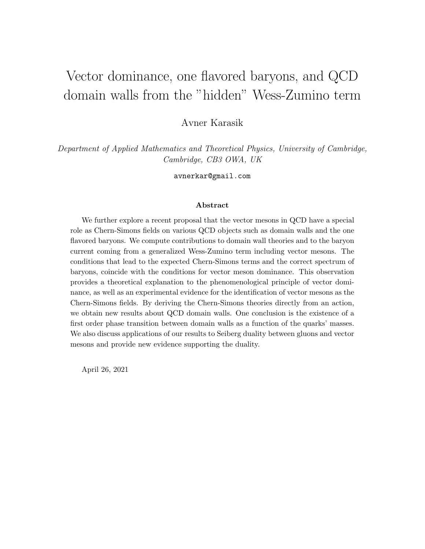# Vector dominance, one flavored baryons, and QCD domain walls from the "hidden" Wess-Zumino term

Avner Karasik

Department of Applied Mathematics and Theoretical Physics, University of Cambridge, Cambridge, CB3 OWA, UK

avnerkar@gmail.com

#### Abstract

We further explore a recent proposal that the vector mesons in QCD have a special role as Chern-Simons fields on various QCD objects such as domain walls and the one flavored baryons. We compute contributions to domain wall theories and to the baryon current coming from a generalized Wess-Zumino term including vector mesons. The conditions that lead to the expected Chern-Simons terms and the correct spectrum of baryons, coincide with the conditions for vector meson dominance. This observation provides a theoretical explanation to the phenomenological principle of vector dominance, as well as an experimental evidence for the identification of vector mesons as the Chern-Simons fields. By deriving the Chern-Simons theories directly from an action, we obtain new results about QCD domain walls. One conclusion is the existence of a first order phase transition between domain walls as a function of the quarks' masses. We also discuss applications of our results to Seiberg duality between gluons and vector mesons and provide new evidence supporting the duality.

April 26, 2021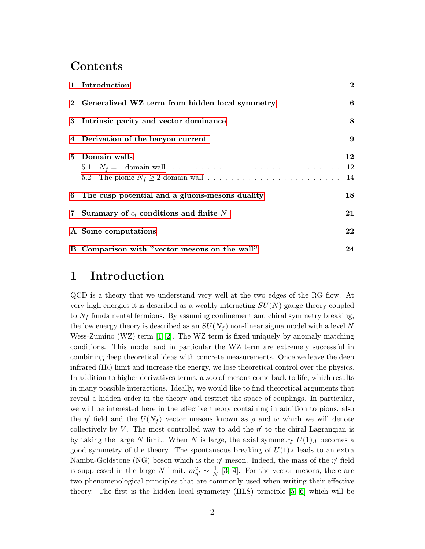## Contents

| 1 Introduction                                   | $\overline{2}$ |
|--------------------------------------------------|----------------|
| 2 Generalized WZ term from hidden local symmetry | 6              |
| 3 Intrinsic parity and vector dominance          | 8              |
| 4 Derivation of the baryon current               | $9\phantom{.}$ |
| 5 Domain walls                                   | 12<br>14       |
| 6 The cusp potential and a gluons-mesons duality | 18             |
| 7 Summary of $c_i$ conditions and finite N       | 21             |
| A Some computations                              | 22             |
| B Comparison with "vector mesons on the wall"    | 24             |

## <span id="page-1-0"></span>1 Introduction

QCD is a theory that we understand very well at the two edges of the RG flow. At very high energies it is described as a weakly interacting  $SU(N)$  gauge theory coupled to  $N_f$  fundamental fermions. By assuming confinement and chiral symmetry breaking, the low energy theory is described as an  $SU(N_f)$  non-linear sigma model with a level N Wess-Zumino (WZ) term [\[1,](#page-24-0) [2\]](#page-24-1). The WZ term is fixed uniquely by anomaly matching conditions. This model and in particular the WZ term are extremely successful in combining deep theoretical ideas with concrete measurements. Once we leave the deep infrared (IR) limit and increase the energy, we lose theoretical control over the physics. In addition to higher derivatives terms, a zoo of mesons come back to life, which results in many possible interactions. Ideally, we would like to find theoretical arguments that reveal a hidden order in the theory and restrict the space of couplings. In particular, we will be interested here in the effective theory containing in addition to pions, also the  $\eta'$  field and the  $U(N_f)$  vector mesons known as  $\rho$  and  $\omega$  which we will denote collectively by V. The most controlled way to add the  $\eta'$  to the chiral Lagrangian is by taking the large N limit. When N is large, the axial symmetry  $U(1)_A$  becomes a good symmetry of the theory. The spontaneous breaking of  $U(1)_A$  leads to an extra Nambu-Goldstone (NG) boson which is the  $\eta'$  meson. Indeed, the mass of the  $\eta'$  field is suppressed in the large N limit,  $m_{\eta'}^2 \sim \frac{1}{N}$  $\frac{1}{N}$  [\[3,](#page-24-2) [4\]](#page-24-3). For the vector mesons, there are two phenomenological principles that are commonly used when writing their effective theory. The first is the hidden local symmetry (HLS) principle [\[5,](#page-24-4) [6\]](#page-24-5) which will be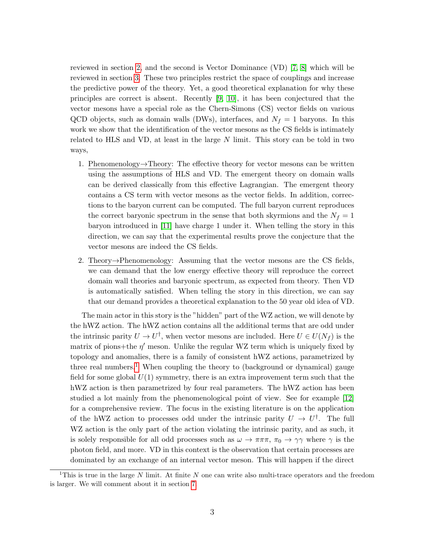reviewed in section [2,](#page-5-0) and the second is Vector Dominance (VD) [\[7,](#page-24-6) [8\]](#page-24-7) which will be reviewed in section [3.](#page-7-0) These two principles restrict the space of couplings and increase the predictive power of the theory. Yet, a good theoretical explanation for why these principles are correct is absent. Recently [\[9,](#page-24-8) [10\]](#page-24-9), it has been conjectured that the vector mesons have a special role as the Chern-Simons (CS) vector fields on various QCD objects, such as domain walls (DWs), interfaces, and  $N_f = 1$  baryons. In this work we show that the identification of the vector mesons as the CS fields is intimately related to HLS and VD, at least in the large N limit. This story can be told in two ways,

- 1. Phenomenology $\rightarrow$ Theory: The effective theory for vector mesons can be written using the assumptions of HLS and VD. The emergent theory on domain walls can be derived classically from this effective Lagrangian. The emergent theory contains a CS term with vector mesons as the vector fields. In addition, corrections to the baryon current can be computed. The full baryon current reproduces the correct baryonic spectrum in the sense that both skyrmions and the  $N_f = 1$ baryon introduced in [\[11\]](#page-24-10) have charge 1 under it. When telling the story in this direction, we can say that the experimental results prove the conjecture that the vector mesons are indeed the CS fields.
- 2. Theory→Phenomenology: Assuming that the vector mesons are the CS fields, we can demand that the low energy effective theory will reproduce the correct domain wall theories and baryonic spectrum, as expected from theory. Then VD is automatically satisfied. When telling the story in this direction, we can say that our demand provides a theoretical explanation to the 50 year old idea of VD.

The main actor in this story is the "hidden" part of the WZ action, we will denote by the hWZ action. The hWZ action contains all the additional terms that are odd under the intrinsic parity  $U \to U^{\dagger}$ , when vector mesons are included. Here  $U \in U(N_f)$  is the matrix of pions+the  $\eta'$  meson. Unlike the regular WZ term which is uniquely fixed by topology and anomalies, there is a family of consistent hWZ actions, parametrized by three real numbers.<sup>[1](#page-2-0)</sup> When coupling the theory to (background or dynamical) gauge field for some global  $U(1)$  symmetry, there is an extra improvement term such that the hWZ action is then parametrized by four real parameters. The hWZ action has been studied a lot mainly from the phenomenological point of view. See for example [\[12\]](#page-24-11) for a comprehensive review. The focus in the existing literature is on the application of the hWZ action to processes odd under the intrinsic parity  $U \to U^{\dagger}$ . The full WZ action is the only part of the action violating the intrinsic parity, and as such, it is solely responsible for all odd processes such as  $\omega \to \pi \pi \pi$ ,  $\pi_0 \to \gamma \gamma$  where  $\gamma$  is the photon field, and more. VD in this context is the observation that certain processes are dominated by an exchange of an internal vector meson. This will happen if the direct

<span id="page-2-0"></span><sup>&</sup>lt;sup>1</sup>This is true in the large N limit. At finite N one can write also multi-trace operators and the freedom is larger. We will comment about it in section [7.](#page-20-0)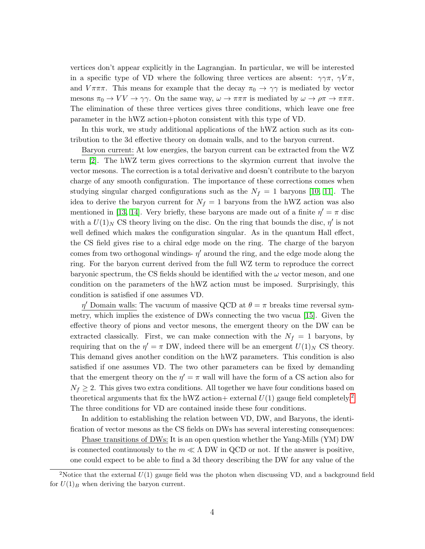vertices don't appear explicitly in the Lagrangian. In particular, we will be interested in a specific type of VD where the following three vertices are absent:  $\gamma \gamma \pi$ ,  $\gamma V \pi$ , and  $V\pi\pi\pi$ . This means for example that the decay  $\pi_0 \to \gamma\gamma$  is mediated by vector mesons  $\pi_0 \to VV \to \gamma\gamma$ . On the same way,  $\omega \to \pi\pi\pi$  is mediated by  $\omega \to \rho\pi \to \pi\pi\pi$ . The elimination of these three vertices gives three conditions, which leave one free parameter in the hWZ action+photon consistent with this type of VD.

In this work, we study additional applications of the hWZ action such as its contribution to the 3d effective theory on domain walls, and to the baryon current.

Baryon current: At low energies, the baryon current can be extracted from the WZ term [\[2\]](#page-24-1). The hWZ term gives corrections to the skyrmion current that involve the vector mesons. The correction is a total derivative and doesn't contribute to the baryon charge of any smooth configuration. The importance of these corrections comes when studying singular charged configurations such as the  $N_f = 1$  baryons [\[10,](#page-24-9) [11\]](#page-24-10). The idea to derive the baryon current for  $N_f = 1$  baryons from the hWZ action was also mentioned in [\[13,](#page-25-0) [14\]](#page-25-1). Very briefly, these baryons are made out of a finite  $\eta' = \pi$  disc with a  $U(1)_N$  CS theory living on the disc. On the ring that bounds the disc,  $\eta'$  is not well defined which makes the configuration singular. As in the quantum Hall effect, the CS field gives rise to a chiral edge mode on the ring. The charge of the baryon comes from two orthogonal windings-  $\eta'$  around the ring, and the edge mode along the ring. For the baryon current derived from the full WZ term to reproduce the correct baryonic spectrum, the CS fields should be identified with the  $\omega$  vector meson, and one condition on the parameters of the hWZ action must be imposed. Surprisingly, this condition is satisfied if one assumes VD.

 $\eta'$  Domain walls: The vacuum of massive QCD at  $\theta = \pi$  breaks time reversal symmetry, which implies the existence of DWs connecting the two vacua [\[15\]](#page-25-2). Given the effective theory of pions and vector mesons, the emergent theory on the DW can be extracted classically. First, we can make connection with the  $N_f = 1$  baryons, by requiring that on the  $\eta' = \pi$  DW, indeed there will be an emergent  $U(1)_N$  CS theory. This demand gives another condition on the hWZ parameters. This condition is also satisfied if one assumes VD. The two other parameters can be fixed by demanding that the emergent theory on the  $\eta' = \pi$  wall will have the form of a CS action also for  $N_f \geq 2$ . This gives two extra conditions. All together we have four conditions based on theoretical arguments that fix the hWZ action+ external  $U(1)$  gauge field completely.<sup>[2](#page-3-0)</sup> The three conditions for VD are contained inside these four conditions.

In addition to establishing the relation between VD, DW, and Baryons, the identification of vector mesons as the CS fields on DWs has several interesting consequences:

Phase transitions of DWs: It is an open question whether the Yang-Mills (YM) DW is connected continuously to the  $m \ll \Lambda$  DW in QCD or not. If the answer is positive, one could expect to be able to find a 3d theory describing the DW for any value of the

<span id="page-3-0"></span><sup>&</sup>lt;sup>2</sup>Notice that the external  $U(1)$  gauge field was the photon when discussing VD, and a background field for  $U(1)_B$  when deriving the baryon current.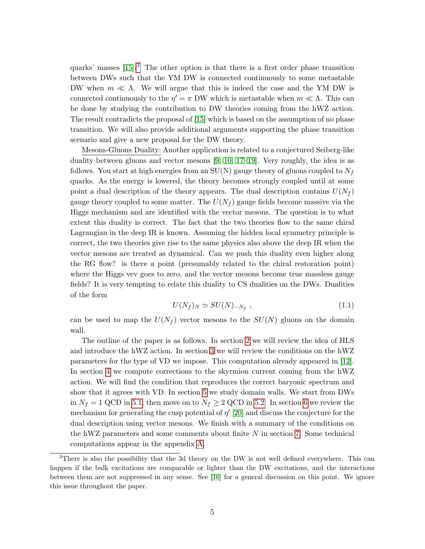quarks' masses  $[15]$ <sup>[3](#page-4-0)</sup>. The other option is that there is a first order phase transition between DWs such that the YM DW is connected continuously to some metastable DW when  $m \ll \Lambda$ . We will argue that this is indeed the case and the YM DW is connected continuously to the  $\eta' = \pi$  DW which is metastable when  $m \ll \Lambda$ . This can be done by studying the contribution to DW theories coming from the hWZ action. The result contradicts the proposal of [\[15\]](#page-25-2) which is based on the assumption of no phase transition. We will also provide additional arguments supporting the phase transition scenario and give a new proposal for the DW theory.

Mesons-Gluons Duality: Another application is related to a conjectured Seiberg-like duality between gluons and vector mesons [\[9,](#page-24-8) [10,](#page-24-9) [17–](#page-25-3)[19\]](#page-25-4). Very roughly, the idea is as follows. You start at high energies from an  $SU(N)$  gauge theory of gluons coupled to  $N_f$ quarks. As the energy is lowered, the theory becomes strongly coupled until at some point a dual description of the theory appears. The dual description contains  $U(N_f)$ gauge theory coupled to some matter. The  $U(N_f)$  gauge fields become massive via the Higgs mechanism and are identified with the vector mesons. The question is to what extent this duality is correct. The fact that the two theories flow to the same chiral Lagrangian in the deep IR is known. Assuming the hidden local symmetry principle is correct, the two theories give rise to the same physics also above the deep IR when the vector mesons are treated as dynamical. Can we push this duality even higher along the RG flow? is there a point (presumably related to the chiral restoration point) where the Higgs vev goes to zero, and the vector mesons become true massless gauge fields? It is very tempting to relate this duality to CS dualities on the DWs. Dualities of the form

$$
U(N_f)_N \simeq SU(N)_{-N_f} \t\t(1.1)
$$

can be used to map the  $U(N_f)$  vector mesons to the  $SU(N)$  gluons on the domain wall.

The outline of the paper is as follows. In section [2](#page-5-0) we will review the idea of HLS and introduce the hWZ action. In section [3](#page-7-0) we will review the conditions on the hWZ parameters for the type of VD we impose. This computation already appeared in [\[12\]](#page-24-11). In section [4](#page-8-0) we compute corrections to the skyrmion current coming from the hWZ action. We will find the condition that reproduces the correct baryonic spectrum and show that it agrees with VD. In section [5](#page-11-0) we study domain walls. We start from DWs in  $N_f = 1$  QCD in [5.1,](#page-11-1) then move on to  $N_f \geq 2$  QCD in [5.2.](#page-13-0) In section [6](#page-17-0) we review the mechanism for generating the cusp potential of  $\eta'$  [\[20\]](#page-25-5) and discuss the conjecture for the dual description using vector mesons. We finish with a summary of the conditions on the hWZ parameters and some comments about finite  $N$  in section [7.](#page-20-0) Some technical computations appear in the appendix [A.](#page-21-0)

<span id="page-4-0"></span> $3$ There is also the possibility that the 3d theory on the DW is not well defined everywhere. This can happen if the bulk excitations are comparable or lighter than the DW excitations, and the interactions between them are not suppressed in any sense. See [\[16\]](#page-25-6) for a general discussion on this point. We ignore this issue throughout the paper.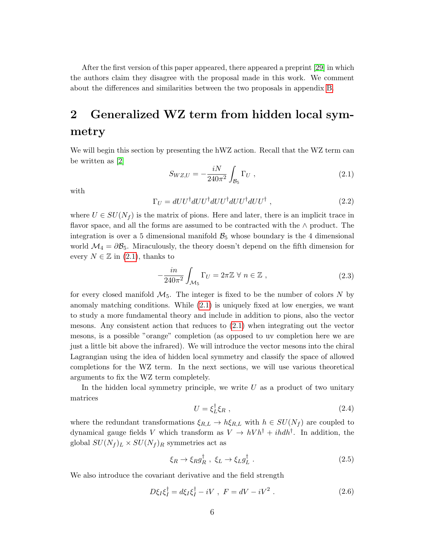After the first version of this paper appeared, there appeared a preprint [\[29\]](#page-26-0) in which the authors claim they disagree with the proposal made in this work. We comment about the differences and similarities between the two proposals in appendix [B.](#page-23-0)

## <span id="page-5-0"></span>2 Generalized WZ term from hidden local symmetry

We will begin this section by presenting the hWZ action. Recall that the WZ term can be written as [\[2\]](#page-24-1)

<span id="page-5-1"></span>
$$
S_{WZ,U} = -\frac{iN}{240\pi^2} \int_{\mathcal{B}_5} \Gamma_{U} , \qquad (2.1)
$$

with

$$
\Gamma_U = dU U^{\dagger} dU U^{\dagger} dU U^{\dagger} dU U^{\dagger} dU U^{\dagger} , \qquad (2.2)
$$

where  $U \in SU(N_f)$  is the matrix of pions. Here and later, there is an implicit trace in flavor space, and all the forms are assumed to be contracted with the ∧ product. The integration is over a 5 dimensional manifold  $B_5$  whose boundary is the 4 dimensional world  $\mathcal{M}_4 = \partial \mathcal{B}_5$ . Miraculously, the theory doesn't depend on the fifth dimension for every  $N \in \mathbb{Z}$  in [\(2.1\)](#page-5-1), thanks to

$$
-\frac{in}{240\pi^2} \int_{\mathcal{M}_5} \Gamma_U = 2\pi \mathbb{Z} \,\forall \, n \in \mathbb{Z} \,, \tag{2.3}
$$

for every closed manifold  $\mathcal{M}_5$ . The integer is fixed to be the number of colors N by anomaly matching conditions. While [\(2.1\)](#page-5-1) is uniquely fixed at low energies, we want to study a more fundamental theory and include in addition to pions, also the vector mesons. Any consistent action that reduces to [\(2.1\)](#page-5-1) when integrating out the vector mesons, is a possible "orange" completion (as opposed to uv completion here we are just a little bit above the infrared). We will introduce the vector mesons into the chiral Lagrangian using the idea of hidden local symmetry and classify the space of allowed completions for the WZ term. In the next sections, we will use various theoretical arguments to fix the WZ term completely.

In the hidden local symmetry principle, we write  $U$  as a product of two unitary matrices

$$
U = \xi_L^{\dagger} \xi_R \tag{2.4}
$$

where the redundant transformations  $\xi_{R,L} \to h \xi_{R,L}$  with  $h \in SU(N_f)$  are coupled to dynamical gauge fields V which transform as  $V \to hV h^{\dagger} + i h d h^{\dagger}$ . In addition, the global  $SU(N_f)_L \times SU(N_f)_R$  symmetries act as

<span id="page-5-2"></span>
$$
\xi_R \to \xi_R g_R^{\dagger} , \ \xi_L \to \xi_L g_L^{\dagger} . \tag{2.5}
$$

We also introduce the covariant derivative and the field strength

$$
D\xi_I \xi_I^{\dagger} = d\xi_I \xi_I^{\dagger} - iV \ , \ F = dV - iV^2 \ . \tag{2.6}
$$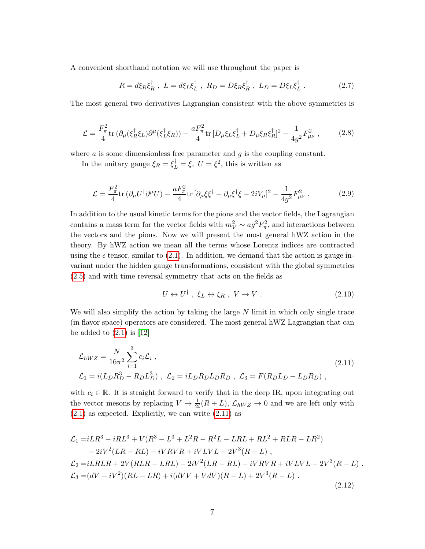A convenient shorthand notation we will use throughout the paper is

$$
R = d\xi_R \xi_R^{\dagger}, \ L = d\xi_L \xi_L^{\dagger}, \ R_D = D\xi_R \xi_R^{\dagger}, \ L_D = D\xi_L \xi_L^{\dagger}.
$$
 (2.7)

The most general two derivatives Lagrangian consistent with the above symmetries is

$$
\mathcal{L} = \frac{F_{\pi}^2}{4} \text{tr} \left( \partial_{\mu} (\xi_R^{\dagger} \xi_L) \partial^{\mu} (\xi_L^{\dagger} \xi_R) \right) - \frac{a F_{\pi}^2}{4} \text{tr} \left[ D_{\mu} \xi_L \xi_L^{\dagger} + D_{\mu} \xi_R \xi_R^{\dagger} \right]^2 - \frac{1}{4g^2} F_{\mu\nu}^2 \;, \tag{2.8}
$$

where  $\alpha$  is some dimensionless free parameter and  $\alpha$  is the coupling constant.

In the unitary gauge  $\xi_R = \xi_L^{\dagger} = \xi$ ,  $U = \xi^2$ , this is written as

<span id="page-6-2"></span>
$$
\mathcal{L} = \frac{F_{\pi}^2}{4} \text{tr} \left( \partial_{\mu} U^{\dagger} \partial^{\mu} U \right) - \frac{a F_{\pi}^2}{4} \text{tr} \left[ \partial_{\mu} \xi \xi^{\dagger} + \partial_{\mu} \xi^{\dagger} \xi - 2i V_{\mu} \right]^2 - \frac{1}{4g^2} F_{\mu\nu}^2 \,. \tag{2.9}
$$

In addition to the usual kinetic terms for the pions and the vector fields, the Lagrangian contains a mass term for the vector fields with  $m_V^2 \sim a g^2 F_\pi^2$ , and interactions between the vectors and the pions. Now we will present the most general hWZ action in the theory. By hWZ action we mean all the terms whose Lorentz indices are contracted using the  $\epsilon$  tensor, similar to [\(2.1\)](#page-5-1). In addition, we demand that the action is gauge invariant under the hidden gauge transformations, consistent with the global symmetries [\(2.5\)](#page-5-2) and with time reversal symmetry that acts on the fields as

$$
U \leftrightarrow U^{\dagger} , \xi_L \leftrightarrow \xi_R , V \to V . \tag{2.10}
$$

We will also simplify the action by taking the large  $N$  limit in which only single trace (in flavor space) operators are considered. The most general hWZ Lagrangian that can be added to  $(2.1)$  is  $[12]$ 

<span id="page-6-0"></span>
$$
\mathcal{L}_{hWZ} = \frac{N}{16\pi^2} \sum_{i=1}^{3} c_i \mathcal{L}_i ,
$$
\n
$$
\mathcal{L}_1 = i(L_D R_D^3 - R_D L_D^3) , \ \mathcal{L}_2 = iL_D R_D L_D R_D , \ \mathcal{L}_3 = F(R_D L_D - L_D R_D) ,
$$
\n(2.11)

with  $c_i \in \mathbb{R}$ . It is straight forward to verify that in the deep IR, upon integrating out the vector mesons by replacing  $V \to \frac{1}{2i}(R+L)$ ,  $\mathcal{L}_{hWZ} \to 0$  and we are left only with  $(2.1)$  as expected. Explicitly, we can write  $(2.11)$  as

<span id="page-6-1"></span>
$$
\mathcal{L}_1 = iLR^3 - iRL^3 + V(R^3 - L^3 + L^2R - R^2L - LRL + RL^2 + RLR - LR^2) \n- 2iV^2(LR - RL) - iVRVR + iVLVL - 2V^3(R - L) , \n\mathcal{L}_2 = iLRLR + 2V(RLR - LRL) - 2iV^2(LR - RL) - iVRVR + iVLVL - 2V^3(R - L) , \n\mathcal{L}_3 = (dV - iV^2)(RL - LR) + i(dVV + VdV)(R - L) + 2V^3(R - L) .
$$
\n(2.12)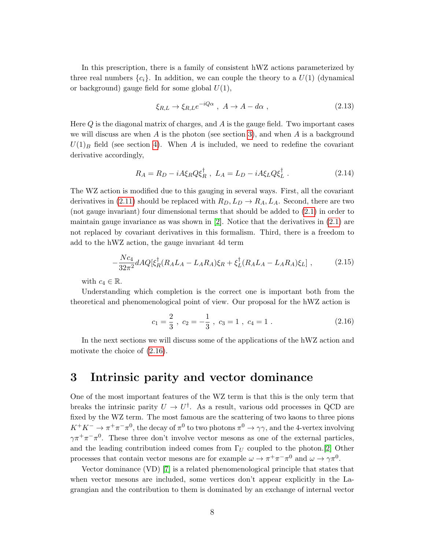In this prescription, there is a family of consistent hWZ actions parameterized by three real numbers  $\{c_i\}$ . In addition, we can couple the theory to a  $U(1)$  (dynamical or background) gauge field for some global  $U(1)$ ,

$$
\xi_{R,L} \to \xi_{R,L} e^{-iQ\alpha} , \quad A \to A - d\alpha , \tag{2.13}
$$

Here  $Q$  is the diagonal matrix of charges, and  $A$  is the gauge field. Two important cases we will discuss are when A is the photon (see section [3\)](#page-7-0), and when A is a background  $U(1)_B$  field (see section [4\)](#page-8-0). When A is included, we need to redefine the covariant derivative accordingly,

$$
R_A = R_D - iA\xi_R Q \xi_R^{\dagger} , \ L_A = L_D - iA\xi_L Q \xi_L^{\dagger} . \tag{2.14}
$$

The WZ action is modified due to this gauging in several ways. First, all the covariant derivatives in [\(2.11\)](#page-6-0) should be replaced with  $R_D, L_D \rightarrow R_A, L_A$ . Second, there are two (not gauge invariant) four dimensional terms that should be added to [\(2.1\)](#page-5-1) in order to maintain gauge invariance as was shown in  $[2]$ . Notice that the derivatives in  $(2.1)$  are not replaced by covariant derivatives in this formalism. Third, there is a freedom to add to the hWZ action, the gauge invariant 4d term

<span id="page-7-2"></span>
$$
-\frac{Nc_4}{32\pi^2}dAQ[\xi_R^{\dagger}(R_A L_A - L_A R_A)\xi_R + \xi_L^{\dagger}(R_A L_A - L_A R_A)\xi_L],\tag{2.15}
$$

with  $c_4 \in \mathbb{R}$ .

Understanding which completion is the correct one is important both from the theoretical and phenomenological point of view. Our proposal for the hWZ action is

<span id="page-7-1"></span>
$$
c_1 = \frac{2}{3}
$$
,  $c_2 = -\frac{1}{3}$ ,  $c_3 = 1$ ,  $c_4 = 1$ . (2.16)

In the next sections we will discuss some of the applications of the hWZ action and motivate the choice of [\(2.16\)](#page-7-1).

### <span id="page-7-0"></span>3 Intrinsic parity and vector dominance

One of the most important features of the WZ term is that this is the only term that breaks the intrinsic parity  $U \to U^{\dagger}$ . As a result, various odd processes in QCD are fixed by the WZ term. The most famous are the scattering of two kaons to three pions  $K^+K^-\to \pi^+\pi^-\pi^0$ , the decay of  $\pi^0$  to two photons  $\pi^0\to\gamma\gamma$ , and the 4-vertex involving  $\gamma \pi^+ \pi^- \pi^0$ . These three don't involve vector mesons as one of the external particles, and the leading contribution indeed comes from  $\Gamma_U$  coupled to the photon.[\[2\]](#page-24-1) Other processes that contain vector mesons are for example  $\omega \to \pi^+ \pi^- \pi^0$  and  $\omega \to \gamma \pi^0$ .

Vector dominance (VD) [\[7\]](#page-24-6) is a related phenomenological principle that states that when vector mesons are included, some vertices don't appear explicitly in the Lagrangian and the contribution to them is dominated by an exchange of internal vector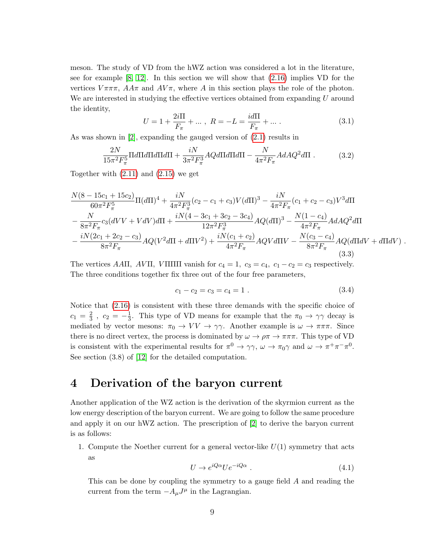meson. The study of VD from the hWZ action was considered a lot in the literature, see for example [\[8,](#page-24-7) [12\]](#page-24-11). In this section we will show that [\(2.16\)](#page-7-1) implies VD for the vertices  $V\pi\pi\pi$ ,  $AA\pi$  and  $AV\pi$ , where A in this section plays the role of the photon. We are interested in studying the effective vertices obtained from expanding U around the identity,

$$
U = 1 + \frac{2i\Pi}{F_{\pi}} + \dots, \ R = -L = \frac{i d\Pi}{F_{\pi}} + \dots \tag{3.1}
$$

As was shown in [\[2\]](#page-24-1), expanding the gauged version of [\(2.1\)](#page-5-1) results in

$$
\frac{2N}{15\pi^2 F_\pi^5} \Pi d\Pi d\Pi d\Pi d\Pi + \frac{iN}{3\pi^2 F_\pi^3} A Q d\Pi d\Pi d\Pi - \frac{N}{4\pi^2 F_\pi} A dA Q^2 d\Pi . \tag{3.2}
$$

Together with  $(2.11)$  and  $(2.15)$  we get

$$
\frac{N(8-15c_1+15c_2)}{60\pi^2F_{\pi}^5}\Pi(d\Pi)^4 + \frac{iN}{4\pi^2F_{\pi}^3}(c_2 - c_1 + c_3)V(d\Pi)^3 - \frac{iN}{4\pi^2F_{\pi}}(c_1 + c_2 - c_3)V^3d\Pi
$$
  
 
$$
- \frac{N}{8\pi^2F_{\pi}}c_3(dVV + VdV)d\Pi + \frac{iN(4-3c_1+3c_2-3c_4)}{12\pi^2F_{\pi}^3}AQ(d\Pi)^3 - \frac{N(1-c_4)}{4\pi^2F_{\pi}}AdAQ^2d\Pi
$$
  
 
$$
- \frac{iN(2c_1+2c_2-c_3)}{8\pi^2F_{\pi}}AQ(V^2d\Pi + d\Pi V^2) + \frac{iN(c_1+c_2)}{4\pi^2F_{\pi}}AQVd\Pi V - \frac{N(c_3-c_4)}{8\pi^2F_{\pi}}AQ(d\Pi dV + d\Pi dV) .
$$
  
(3.3)

The vertices AAΠ, AVΠ, VΠΠΠ vanish for  $c_4 = 1$ ,  $c_3 = c_4$ ,  $c_1 - c_2 = c_3$  respectively. The three conditions together fix three out of the four free parameters,

$$
c_1 - c_2 = c_3 = c_4 = 1. \t\t(3.4)
$$

Notice that [\(2.16\)](#page-7-1) is consistent with these three demands with the specific choice of  $c_1 = \frac{2}{3}$  $\frac{2}{3}$ ,  $c_2 = -\frac{1}{3}$  $\frac{1}{3}$ . This type of VD means for example that the  $\pi_0 \rightarrow \gamma \gamma$  decay is mediated by vector mesons:  $\pi_0 \to VV \to \gamma\gamma$ . Another example is  $\omega \to \pi\pi\pi$ . Since there is no direct vertex, the process is dominated by  $\omega \to \rho \pi \to \pi \pi \pi$ . This type of VD is consistent with the experimental results for  $\pi^0 \to \gamma\gamma$ ,  $\omega \to \pi_0\gamma$  and  $\omega \to \pi^+\pi^-\pi^0$ . See section (3.8) of [\[12\]](#page-24-11) for the detailed computation.

### <span id="page-8-0"></span>4 Derivation of the baryon current

Another application of the WZ action is the derivation of the skyrmion current as the low energy description of the baryon current. We are going to follow the same procedure and apply it on our hWZ action. The prescription of [\[2\]](#page-24-1) to derive the baryon current is as follows:

1. Compute the Noether current for a general vector-like  $U(1)$  symmetry that acts as

$$
U \to e^{iQ\alpha} U e^{-iQ\alpha} \tag{4.1}
$$

This can be done by coupling the symmetry to a gauge field A and reading the current from the term  $-A_{\mu}J^{\mu}$  in the Lagrangian.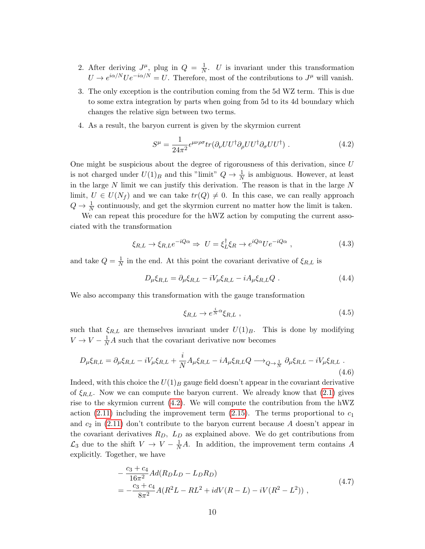- 2. After deriving  $J^{\mu}$ , plug in  $Q = \frac{1}{N}$  $\frac{1}{N}$ . U is invariant under this transformation  $U \to e^{i\alpha/N} U e^{-i\alpha/N} = U$ . Therefore, most of the contributions to  $J^{\mu}$  will vanish.
- 3. The only exception is the contribution coming from the 5d WZ term. This is due to some extra integration by parts when going from 5d to its 4d boundary which changes the relative sign between two terms.
- 4. As a result, the baryon current is given by the skyrmion current

<span id="page-9-0"></span>
$$
S^{\mu} = \frac{1}{24\pi^2} \epsilon^{\mu\nu\rho\sigma} tr(\partial_{\nu} U U^{\dagger} \partial_{\rho} U U^{\dagger} \partial_{\sigma} U U^{\dagger}) . \tag{4.2}
$$

One might be suspicious about the degree of rigorousness of this derivation, since  $U$ is not charged under  $U(1)_B$  and this "limit"  $Q \to \frac{1}{N}$  is ambiguous. However, at least in the large  $N$  limit we can justify this derivation. The reason is that in the large  $N$ limit,  $U \in U(N_f)$  and we can take  $tr(Q) \neq 0$ . In this case, we can really approach  $Q \to \frac{1}{N}$  continuously, and get the skyrmion current no matter how the limit is taken.

We can repeat this procedure for the hWZ action by computing the current associated with the transformation

$$
\xi_{R,L} \to \xi_{R,L} e^{-iQ\alpha} \Rightarrow U = \xi_L^{\dagger} \xi_R \to e^{iQ\alpha} U e^{-iQ\alpha} \;, \tag{4.3}
$$

and take  $Q = \frac{1}{N}$  $\frac{1}{N}$  in the end. At this point the covariant derivative of  $\xi_{R,L}$  is

$$
D_{\mu}\xi_{R,L} = \partial_{\mu}\xi_{R,L} - iV_{\mu}\xi_{R,L} - iA_{\mu}\xi_{R,L}Q. \qquad (4.4)
$$

We also accompany this transformation with the gauge transformation

$$
\xi_{R,L} \to e^{\frac{i}{N}\alpha} \xi_{R,L} \tag{4.5}
$$

such that  $\xi_{R,L}$  are themselves invariant under  $U(1)_B$ . This is done by modifying  $V \to V - \frac{1}{N}A$  such that the covariant derivative now becomes

$$
D_{\mu}\xi_{R,L} = \partial_{\mu}\xi_{R,L} - iV_{\mu}\xi_{R,L} + \frac{i}{N}A_{\mu}\xi_{R,L} - iA_{\mu}\xi_{R,L}Q \longrightarrow_{Q \to \frac{1}{N}} \partial_{\mu}\xi_{R,L} - iV_{\mu}\xi_{R,L}.
$$
\n(4.6)

Indeed, with this choice the  $U(1)_B$  gauge field doesn't appear in the covariant derivative of  $\xi_{R,L}$ . Now we can compute the baryon current. We already know that [\(2.1\)](#page-5-1) gives rise to the skyrmion current  $(4.2)$ . We will compute the contribution from the hWZ action [\(2.11\)](#page-6-0) including the improvement term [\(2.15\)](#page-7-2). The terms proportional to  $c_1$ and  $c_2$  in [\(2.11\)](#page-6-0) don't contribute to the baryon current because A doesn't appear in the covariant derivatives  $R_D$ ,  $L_D$  as explained above. We do get contributions from  $\mathcal{L}_3$  due to the shift  $V \to V - \frac{1}{N}A$ . In addition, the improvement term contains A explicitly. Together, we have

$$
-\frac{c_3 + c_4}{16\pi^2} Ad(R_D L_D - L_D R_D)
$$
  
=  $-\frac{c_3 + c_4}{8\pi^2} A(R^2 L - RL^2 + idV(R - L) - iV(R^2 - L^2))$ , (4.7)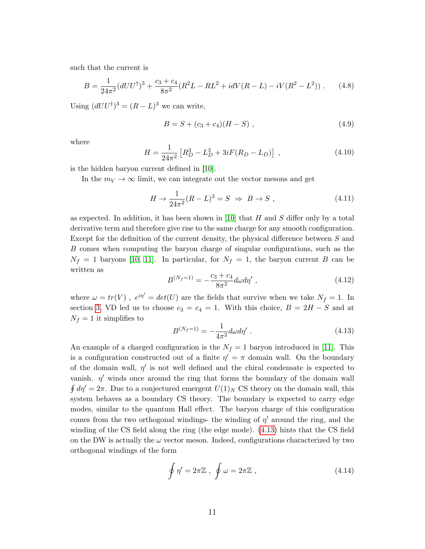such that the current is

$$
B = \frac{1}{24\pi^2} (dU U^{\dagger})^3 + \frac{c_3 + c_4}{8\pi^2} (R^2 L - RL^2 + idV(R - L) - iV(R^2 - L^2)) \ . \tag{4.8}
$$

Using  $(dUU^{\dagger})^3 = (R - L)^3$  we can write,

$$
B = S + (c_3 + c_4)(H - S) , \t\t(4.9)
$$

where

$$
H = \frac{1}{24\pi^2} \left[ R_D^3 - L_D^3 + 3iF(R_D - L_D) \right] , \qquad (4.10)
$$

is the hidden baryon current defined in [\[10\]](#page-24-9).

In the  $m_V \to \infty$  limit, we can integrate out the vector mesons and get

$$
H \to \frac{1}{24\pi^2} (R - L)^3 = S \implies B \to S , \qquad (4.11)
$$

as expected. In addition, it has been shown in [\[10\]](#page-24-9) that  $H$  and  $S$  differ only by a total derivative term and therefore give rise to the same charge for any smooth configuration. Except for the definition of the current density, the physical difference between S and B comes when computing the baryon charge of singular configurations, such as the  $N_f = 1$  baryons [\[10,](#page-24-9) [11\]](#page-24-10). In particular, for  $N_f = 1$ , the baryon current B can be written as

<span id="page-10-1"></span>
$$
B^{(N_f=1)} = -\frac{c_3 + c_4}{8\pi^2} d\omega d\eta' , \qquad (4.12)
$$

where  $\omega = tr(V)$ ,  $e^{i\eta'} = det(U)$  are the fields that survive when we take  $N_f = 1$ . In section [3,](#page-7-0) VD led us to choose  $c_3 = c_4 = 1$ . With this choice,  $B = 2H - S$  and at  $N_f = 1$  it simplifies to

<span id="page-10-0"></span>
$$
B^{(N_f=1)} = -\frac{1}{4\pi^2} d\omega d\eta' \ . \tag{4.13}
$$

An example of a charged configuration is the  $N_f = 1$  baryon introduced in [\[11\]](#page-24-10). This is a configuration constructed out of a finite  $\eta' = \pi$  domain wall. On the boundary of the domain wall,  $\eta'$  is not well defined and the chiral condensate is expected to vanish.  $\eta'$  winds once around the ring that forms the boundary of the domain wall  $\oint d\eta' = 2\pi$ . Due to a conjectured emergent  $U(1)_N$  CS theory on the domain wall, this system behaves as a boundary CS theory. The boundary is expected to carry edge modes, similar to the quantum Hall effect. The baryon charge of this configuration comes from the two orthogonal windings- the winding of  $\eta'$  around the ring, and the winding of the CS field along the ring (the edge mode). [\(4.13\)](#page-10-0) hints that the CS field on the DW is actually the  $\omega$  vector meson. Indeed, configurations characterized by two orthogonal windings of the form

<span id="page-10-2"></span>
$$
\oint \eta' = 2\pi \mathbb{Z} \ , \ \oint \omega = 2\pi \mathbb{Z} \ , \tag{4.14}
$$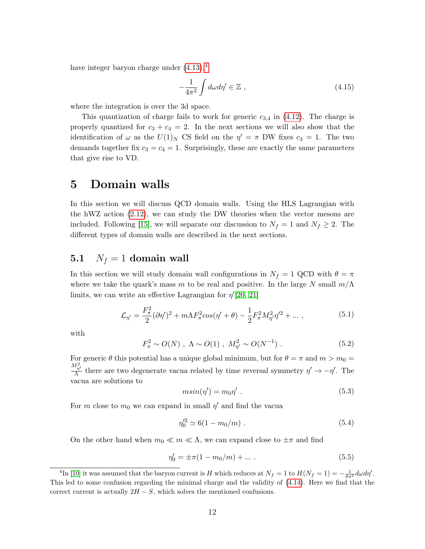have integer baryon charge under  $(4.13)$  $(4.13)$  $(4.13)$ ,<sup>4</sup>

$$
-\frac{1}{4\pi^2} \int d\omega d\eta' \in \mathbb{Z} , \qquad (4.15)
$$

where the integration is over the 3d space.

This quantization of charge fails to work for generic  $c_{3,4}$  in [\(4.12\)](#page-10-1). The charge is properly quantized for  $c_3 + c_4 = 2$ . In the next sections we will also show that the identification of  $\omega$  as the  $U(1)_N$  CS field on the  $\eta' = \pi$  DW fixes  $c_3 = 1$ . The two demands together fix  $c_3 = c_4 = 1$ . Surprisingly, these are exactly the same parameters that give rise to VD.

## <span id="page-11-0"></span>5 Domain walls

In this section we will discuss QCD domain walls. Using the HLS Lagrangian with the hWZ action [\(2.12\)](#page-6-1), we can study the DW theories when the vector mesons are included. Following [\[15\]](#page-25-2), we will separate our discussion to  $N_f = 1$  and  $N_f \geq 2$ . The different types of domain walls are described in the next sections.

#### <span id="page-11-1"></span>5.1  $N_f = 1$  domain wall

In this section we will study domain wall configurations in  $N_f = 1$  QCD with  $\theta = \pi$ where we take the quark's mass m to be real and positive. In the large N small  $m/\Lambda$ limits, we can write an effective Lagrangian for  $\eta'[20, 21]$  $\eta'[20, 21]$  $\eta'[20, 21]$ 

<span id="page-11-3"></span>
$$
\mathcal{L}_{\eta'} = \frac{F_{\pi}^2}{2} (\partial \eta')^2 + m \Lambda F_{\pi}^2 \cos(\eta' + \theta) - \frac{1}{2} F_{\pi}^2 M_{\eta'}^2 \eta'^2 + \dots \,, \tag{5.1}
$$

with

$$
F_{\pi}^2 \sim O(N) , \ \Lambda \sim O(1) , \ M_{\eta'}^2 \sim O(N^{-1}) . \tag{5.2}
$$

For generic  $\theta$  this potential has a unique global minimum, but for  $\theta = \pi$  and  $m > m_0 =$  $M_{\eta'}^2$  $\frac{\partial^{n} \eta'}{\partial \Lambda}$  there are two degenerate vacua related by time reversal symmetry  $\eta' \to -\eta'$ . The vacua are solutions to

$$
m\sin(\eta') = m_0 \eta' \ . \tag{5.3}
$$

For m close to  $m_0$  we can expand in small  $\eta'$  and find the vacua

$$
\eta_0^{\prime 2} \simeq 6(1 - m_0/m) \ . \tag{5.4}
$$

On the other hand when  $m_0 \ll m \ll \Lambda$ , we can expand close to  $\pm \pi$  and find

$$
\eta_0' = \pm \pi (1 - m_0/m) + \dots \tag{5.5}
$$

<span id="page-11-2"></span><sup>&</sup>lt;sup>4</sup>In [\[10\]](#page-24-9) it was assumed that the baryon current is H which reduces at  $N_f = 1$  to  $H(N_f = 1) = -\frac{1}{8\pi^2} d\omega d\eta'$ . This led to some confusion regarding the minimal charge and the validity of [\(4.14\)](#page-10-2). Here we find that the correct current is actually  $2H - S$ , which solves the mentioned confusions.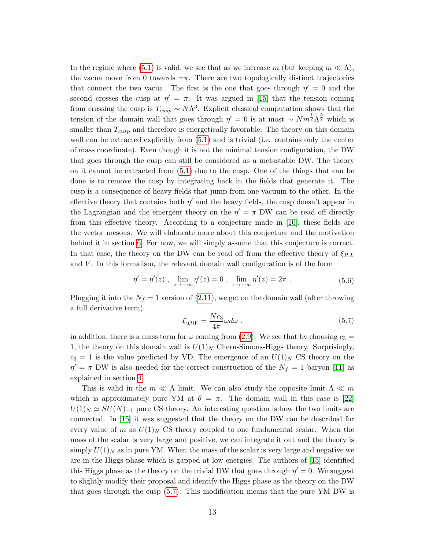In the regime where [\(5.1\)](#page-11-3) is valid, we see that as we increase m (but keeping  $m \ll \Lambda$ ), the vacua move from 0 towards  $\pm \pi$ . There are two topologically distinct trajectories that connect the two vacua. The first is the one that goes through  $\eta' = 0$  and the second crosses the cusp at  $\eta' = \pi$ . It was argued in [\[15\]](#page-25-2) that the tension coming from crossing the cusp is  $T_{cusp} \sim N\Lambda^3$ . Explicit classical computation shows that the tension of the domain wall that goes through  $\eta' = 0$  is at most ~  $Nm^{\frac{1}{2}}\Lambda^{\frac{5}{2}}$  which is smaller than  $T_{cusp}$  and therefore is energetically favorable. The theory on this domain wall can be extracted explicitly from  $(5.1)$  and is trivial (i.e. contains only the center of mass coordinate). Even though it is not the minimal tension configuration, the DW that goes through the cusp can still be considered as a metastable DW. The theory on it cannot be extracted from [\(5.1\)](#page-11-3) due to the cusp. One of the things that can be done is to remove the cusp by integrating back in the fields that generate it. The cusp is a consequence of heavy fields that jump from one vacuum to the other. In the effective theory that contains both  $\eta'$  and the heavy fields, the cusp doesn't appear in the Lagrangian and the emergent theory on the  $\eta' = \pi$  DW can be read off directly from this effective theory. According to a conjecture made in [\[10\]](#page-24-9), these fields are the vector mesons. We will elaborate more about this conjecture and the motivation behind it in section [6.](#page-17-0) For now, we will simply assume that this conjecture is correct. In that case, the theory on the DW can be read off from the effective theory of  $\xi_{R,L}$ and  $V$ . In this formalism, the relevant domain wall configuration is of the form

$$
\eta' = \eta'(z) , \lim_{z \to -\infty} \eta'(z) = 0 , \lim_{z \to +\infty} \eta'(z) = 2\pi . \tag{5.6}
$$

Plugging it into the  $N_f = 1$  version of [\(2.11\)](#page-6-0), we get on the domain wall (after throwing a full derivative term)

<span id="page-12-0"></span>
$$
\mathcal{L}_{DW} = \frac{Nc_3}{4\pi} \omega d\omega \tag{5.7}
$$

in addition, there is a mass term for  $\omega$  coming from [\(2.9\)](#page-6-2). We see that by choosing  $c_3 =$ 1, the theory on this domain wall is  $U(1)_N$  Chern-Simons-Higgs theory. Surprisingly,  $c_3 = 1$  is the value predicted by VD. The emergence of an  $U(1)_N$  CS theory on the  $\eta' = \pi$  DW is also needed for the correct construction of the  $N_f = 1$  baryon [\[11\]](#page-24-10) as explained in section [4.](#page-8-0)

This is valid in the  $m \ll \Lambda$  limit. We can also study the opposite limit  $\Lambda \ll m$ which is approximately pure YM at  $\theta = \pi$ . The domain wall in this case is [\[22\]](#page-25-8)  $U(1)_N \simeq SU(N)_{-1}$  pure CS theory. An interesting question is how the two limits are connected. In [\[15\]](#page-25-2) it was suggested that the theory on the DW can be described for every value of m as  $U(1)_N$  CS theory coupled to one fundamental scalar. When the mass of the scalar is very large and positive, we can integrate it out and the theory is simply  $U(1)_N$  as in pure YM. When the mass of the scalar is very large and negative we are in the Higgs phase which is gapped at low energies. The authors of [\[15\]](#page-25-2) identified this Higgs phase as the theory on the trivial DW that goes through  $\eta' = 0$ . We suggest to slightly modify their proposal and identify the Higgs phase as the theory on the DW that goes through the cusp [\(5.7\)](#page-12-0). This modification means that the pure YM DW is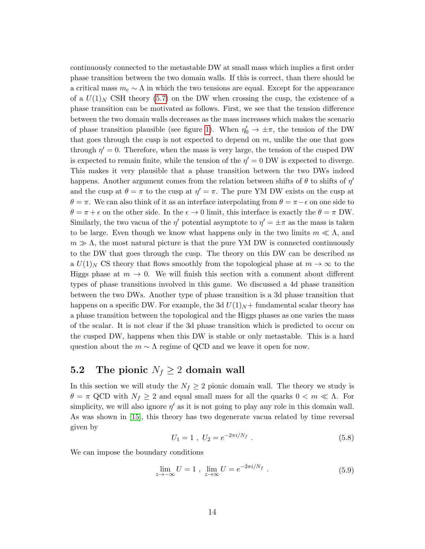continuously connected to the metastable DW at small mass which implies a first order phase transition between the two domain walls. If this is correct, than there should be a critical mass  $m_c \sim \Lambda$  in which the two tensions are equal. Except for the appearance of a  $U(1)_N$  CSH theory [\(5.7\)](#page-12-0) on the DW when crossing the cusp, the existence of a phase transition can be motivated as follows. First, we see that the tension difference between the two domain walls decreases as the mass increases which makes the scenario of phase transition plausible (see figure [1\)](#page-14-0). When  $\eta'_{0} \to \pm \pi$ , the tension of the DW that goes through the cusp is not expected to depend on  $m$ , unlike the one that goes through  $\eta' = 0$ . Therefore, when the mass is very large, the tension of the cusped DW is expected to remain finite, while the tension of the  $\eta' = 0$  DW is expected to diverge. This makes it very plausible that a phase transition between the two DWs indeed happens. Another argument comes from the relation between shifts of  $\theta$  to shifts of  $\eta'$ and the cusp at  $\theta = \pi$  to the cusp at  $\eta' = \pi$ . The pure YM DW exists on the cusp at  $\theta = \pi$ . We can also think of it as an interface interpolating from  $\theta = \pi - \epsilon$  on one side to  $\theta = \pi + \epsilon$  on the other side. In the  $\epsilon \to 0$  limit, this interface is exactly the  $\theta = \pi$  DW. Similarly, the two vacua of the  $\eta'$  potential asymptote to  $\eta' = \pm \pi$  as the mass is taken to be large. Even though we know what happens only in the two limits  $m \ll \Lambda$ , and  $m \gg \Lambda$ , the most natural picture is that the pure YM DW is connected continuously to the DW that goes through the cusp. The theory on this DW can be described as a  $U(1)<sub>N</sub>$  CS theory that flows smoothly from the topological phase at  $m \to \infty$  to the Higgs phase at  $m \to 0$ . We will finish this section with a comment about different types of phase transitions involved in this game. We discussed a 4d phase transition between the two DWs. Another type of phase transition is a 3d phase transition that happens on a specific DW. For example, the 3d  $U(1)_N$  + fundamental scalar theory has a phase transition between the topological and the Higgs phases as one varies the mass of the scalar. It is not clear if the 3d phase transition which is predicted to occur on the cusped DW, happens when this DW is stable or only metastable. This is a hard question about the  $m \sim \Lambda$  regime of QCD and we leave it open for now.

### <span id="page-13-0"></span>5.2 The pionic  $N_f \geq 2$  domain wall

In this section we will study the  $N_f \geq 2$  pionic domain wall. The theory we study is  $\theta = \pi$  QCD with  $N_f \geq 2$  and equal small mass for all the quarks  $0 < m \ll \Lambda$ . For simplicity, we will also ignore  $\eta'$  as it is not going to play any role in this domain wall. As was shown in [\[15\]](#page-25-2), this theory has two degenerate vacua related by time reversal given by

$$
U_1 = 1 \ , \ U_2 = e^{-2\pi i/N_f} \ . \tag{5.8}
$$

We can impose the boundary conditions

$$
\lim_{z \to -\infty} U = 1 , \lim_{z \to \infty} U = e^{-2\pi i/N_f} . \tag{5.9}
$$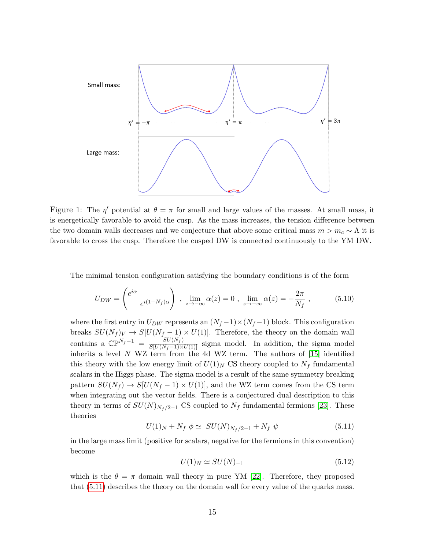

<span id="page-14-0"></span>Figure 1: The  $\eta'$  potential at  $\theta = \pi$  for small and large values of the masses. At small mass, it is energetically favorable to avoid the cusp. As the mass increases, the tension difference between the two domain walls decreases and we conjecture that above some critical mass  $m > m_c \sim \Lambda$  it is favorable to cross the cusp. Therefore the cusped DW is connected continuously to the YM DW.

The minimal tension configuration satisfying the boundary conditions is of the form

<span id="page-14-2"></span>
$$
U_{DW} = \begin{pmatrix} e^{i\alpha} & 0\\ e^{i(1-N_f)\alpha} & \end{pmatrix} \,, \, \lim_{z \to -\infty} \alpha(z) = 0 \,, \, \lim_{z \to +\infty} \alpha(z) = -\frac{2\pi}{N_f} \,, \tag{5.10}
$$

where the first entry in  $U_{DW}$  represents an  $(N_f-1)\times(N_f-1)$  block. This configuration breaks  $SU(N_f)_V \to S[U(N_f-1) \times U(1)]$ . Therefore, the theory on the domain wall contains a  $\mathbb{CP}^{N_f-1} = \frac{SU(N_f)}{S[U(N_f-1)\times U(1)]}$  sigma model. In addition, the sigma model inherits a level N WZ term from the 4d WZ term. The authors of [\[15\]](#page-25-2) identified this theory with the low energy limit of  $U(1)<sub>N</sub>$  CS theory coupled to  $N_f$  fundamental scalars in the Higgs phase. The sigma model is a result of the same symmetry breaking pattern  $SU(N_f) \rightarrow S[U(N_f-1) \times U(1)]$ , and the WZ term comes from the CS term when integrating out the vector fields. There is a conjectured dual description to this theory in terms of  $SU(N)_{N_f/2-1}$  CS coupled to  $N_f$  fundamental fermions [\[23\]](#page-25-9). These theories

<span id="page-14-1"></span>
$$
U(1)_N + N_f \phi \simeq \ SU(N)_{N_f/2 - 1} + N_f \psi \tag{5.11}
$$

in the large mass limit (positive for scalars, negative for the fermions in this convention) become

$$
U(1)_N \simeq SU(N)_{-1} \tag{5.12}
$$

which is the  $\theta = \pi$  domain wall theory in pure YM [\[22\]](#page-25-8). Therefore, they proposed that [\(5.11\)](#page-14-1) describes the theory on the domain wall for every value of the quarks mass.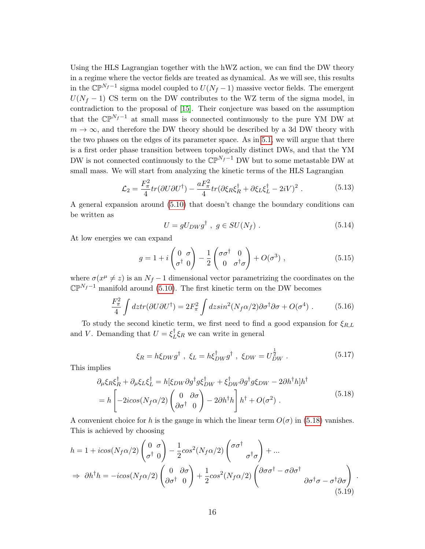Using the HLS Lagrangian together with the hWZ action, we can find the DW theory in a regime where the vector fields are treated as dynamical. As we will see, this results in the  $\mathbb{CP}^{N_f-1}$  sigma model coupled to  $U(N_f-1)$  massive vector fields. The emergent  $U(N_f - 1)$  CS term on the DW contributes to the WZ term of the sigma model, in contradiction to the proposal of [\[15\]](#page-25-2). Their conjecture was based on the assumption that the  $\mathbb{CP}^{N_f-1}$  at small mass is connected continuously to the pure YM DW at  $m \to \infty$ , and therefore the DW theory should be described by a 3d DW theory with the two phases on the edges of its parameter space. As in [5.1,](#page-11-1) we will argue that there is a first order phase transition between topologically distinct DWs, and that the YM DW is not connected continuously to the  $\mathbb{CP}^{N_f-1}$  DW but to some metastable DW at small mass. We will start from analyzing the kinetic terms of the HLS Lagrangian

<span id="page-15-1"></span>
$$
\mathcal{L}_2 = \frac{F_\pi^2}{4} tr(\partial U \partial U^\dagger) - \frac{a F_\pi^2}{4} tr(\partial \xi_R \xi_R^\dagger + \partial \xi_L \xi_L^\dagger - 2iV)^2 \,. \tag{5.13}
$$

A general expansion around [\(5.10\)](#page-14-2) that doesn't change the boundary conditions can be written as

<span id="page-15-2"></span>
$$
U = gU_{DW}g^{\dagger} , g \in SU(N_f) . \tag{5.14}
$$

At low energies we can expand

$$
g = 1 + i \begin{pmatrix} 0 & \sigma \\ \sigma^{\dagger} & 0 \end{pmatrix} - \frac{1}{2} \begin{pmatrix} \sigma \sigma^{\dagger} & 0 \\ 0 & \sigma^{\dagger} \sigma \end{pmatrix} + O(\sigma^3) , \qquad (5.15)
$$

where  $\sigma(x^{\mu} \neq z)$  is an  $N_f - 1$  dimensional vector parametrizing the coordinates on the  $\mathbb{CP}^{N_f-1}$  manifold around [\(5.10\)](#page-14-2). The first kinetic term on the DW becomes

$$
\frac{F_{\pi}^2}{4} \int dz \, tr(\partial U \partial U^{\dagger}) = 2F_{\pi}^2 \int dz \, sin^2(N_f \alpha/2) \partial \sigma^{\dagger} \partial \sigma + O(\sigma^4) \; . \tag{5.16}
$$

To study the second kinetic term, we first need to find a good expansion for  $\xi_{R,L}$ and V. Demanding that  $U = \xi_I^{\dagger}$  $_{L}^{\dagger}$ ξ<sub>R</sub> we can write in general

$$
\xi_R = h\xi_{DW}g^\dagger \ , \ \xi_L = h\xi_{DW}^\dagger g^\dagger \ , \ \xi_{DW} = U_{DW}^{\frac{1}{2}} \ . \tag{5.17}
$$

This implies

<span id="page-15-0"></span>
$$
\partial_{\mu}\xi_{R}\xi_{R}^{\dagger} + \partial_{\mu}\xi_{L}\xi_{L}^{\dagger} = h[\xi_{DW}\partial g^{\dagger}g\xi_{DW}^{\dagger} + \xi_{DW}^{\dagger}\partial g^{\dagger}g\xi_{DW} - 2\partial h^{\dagger}h]h^{\dagger}
$$
  
= 
$$
h \begin{bmatrix} -2icos(N_f\alpha/2) \begin{pmatrix} 0 & \partial\sigma \\ \partial\sigma^{\dagger} & 0 \end{pmatrix} - 2\partial h^{\dagger}h \end{bmatrix} h^{\dagger} + O(\sigma^2) .
$$
 (5.18)

A convenient choice for h is the gauge in which the linear term  $O(\sigma)$  in [\(5.18\)](#page-15-0) vanishes. This is achieved by choosing

$$
h = 1 + i\cos(N_f\alpha/2) \begin{pmatrix} 0 & \sigma \\ \sigma^{\dagger} & 0 \end{pmatrix} - \frac{1}{2}\cos^2(N_f\alpha/2) \begin{pmatrix} \sigma\sigma^{\dagger} \\ \sigma^{\dagger}\sigma \end{pmatrix} + \dots
$$
  
\n
$$
\Rightarrow \partial h^{\dagger}h = -i\cos(N_f\alpha/2) \begin{pmatrix} 0 & \partial\sigma \\ \partial\sigma^{\dagger} & 0 \end{pmatrix} + \frac{1}{2}\cos^2(N_f\alpha/2) \begin{pmatrix} \partial\sigma\sigma^{\dagger} - \sigma\partial\sigma^{\dagger} \\ \partial\sigma^{\dagger}\sigma - \sigma^{\dagger}\partial\sigma \end{pmatrix} .
$$
\n(5.19)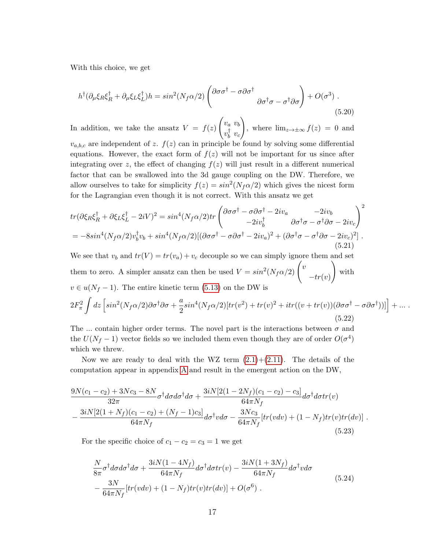With this choice, we get

$$
h^{\dagger}(\partial_{\mu}\xi_{R}\xi_{R}^{\dagger}+\partial_{\mu}\xi_{L}\xi_{L}^{\dagger})h=\sin^{2}(N_{f}\alpha/2)\left(\frac{\partial\sigma\sigma^{\dagger}-\sigma\partial\sigma^{\dagger}}{\partial\sigma^{\dagger}\sigma-\sigma^{\dagger}\partial\sigma}\right)+O(\sigma^{3})\tag{5.20}
$$

In addition, we take the ansatz  $V = f(z)$  $\int v_a v_b$  $v_h^{\dagger}$  $\frac{1}{b}$   $v_c$  $\setminus$ , where  $\lim_{z\to\pm\infty} f(z) = 0$  and  $v_{a,b,c}$  are independent of z.  $f(z)$  can in principle be found by solving some differential equations. However, the exact form of  $f(z)$  will not be important for us since after integrating over z, the effect of changing  $f(z)$  will just result in a different numerical factor that can be swallowed into the 3d gauge coupling on the DW. Therefore, we allow ourselves to take for simplicity  $f(z) = \sin^2(N_f \alpha/2)$  which gives the nicest form for the Lagrangian even though it is not correct. With this ansatz we get

$$
tr(\partial \xi_R \xi_R^{\dagger} + \partial \xi_L \xi_L^{\dagger} - 2iV)^2 = \sin^4(N_f \alpha/2) tr \begin{pmatrix} \partial \sigma \sigma^{\dagger} - \sigma \partial \sigma^{\dagger} - 2iv_a & -2iv_b \\ -2iv_b^{\dagger} & \partial \sigma^{\dagger} \sigma - \sigma^{\dagger} \partial \sigma - 2iv_c \end{pmatrix}^2
$$
  
=  $-8\sin^4(N_f \alpha/2) v_b^{\dagger} v_b + \sin^4(N_f \alpha/2) [(\partial \sigma \sigma^{\dagger} - \sigma \partial \sigma^{\dagger} - 2iv_a)^2 + (\partial \sigma^{\dagger} \sigma - \sigma^{\dagger} \partial \sigma - 2iv_c)^2].$  (5.21)

We see that  $v_b$  and  $tr(V) = tr(v_a) + v_c$  decouple so we can simply ignore them and set them to zero. A simpler ansatz can then be used  $V = sin^2(N_f \alpha/2)$   $\left(v \frac{\partial^2 N_f \alpha}{\partial r^2}\right)$  $-tr(v)$  $\setminus$ with  $v \in u(N_f-1)$ . The entire kinetic term [\(5.13\)](#page-15-1) on the DW is

$$
2F_{\pi}^{2} \int dz \left[ sin^{2}(N_{f}\alpha/2)\partial\sigma^{\dagger}\partial\sigma + \frac{a}{2}sin^{4}(N_{f}\alpha/2)[tr(v^{2}) + tr(v)^{2} + itr((v + tr(v))(\partial\sigma\sigma^{\dagger} - \sigma\partial\sigma^{\dagger}))]\right] + ... \tag{5.22}
$$

The ... contain higher order terms. The novel part is the interactions between  $\sigma$  and the  $U(N_f - 1)$  vector fields so we included them even though they are of order  $O(\sigma^4)$ which we threw.

Now we are ready to deal with the WZ term  $(2.1)+(2.11)$  $(2.1)+(2.11)$ . The details of the computation appear in appendix [A](#page-21-0) and result in the emergent action on the DW,

$$
\frac{9N(c_1-c_2)+3Nc_3-8N}{32\pi}\sigma^{\dagger}d\sigma d\sigma^{\dagger}d\sigma + \frac{3iN[2(1-2N_f)(c_1-c_2)-c_3]}{64\pi N_f}d\sigma^{\dagger}d\sigma tr(v)
$$

$$
-\frac{3iN[2(1+N_f)(c_1-c_2)+(N_f-1)c_3]}{64\pi N_f}d\sigma^{\dagger}vd\sigma - \frac{3Nc_3}{64\pi N_f}[tr(vdv)+(1-N_f)tr(v)tr(dv)].
$$
(5.23)

For the specific choice of  $c_1 - c_2 = c_3 = 1$  we get

<span id="page-16-0"></span>
$$
\frac{N}{8\pi}\sigma^{\dagger}d\sigma d\sigma^{\dagger}d\sigma + \frac{3iN(1-4N_f)}{64\pi N_f}d\sigma^{\dagger}d\sigma tr(v) - \frac{3iN(1+3N_f)}{64\pi N_f}d\sigma^{\dagger}vd\sigma
$$
\n
$$
-\frac{3N}{64\pi N_f}[tr(vdv) + (1-N_f)tr(v)tr(dv)] + O(\sigma^6) \tag{5.24}
$$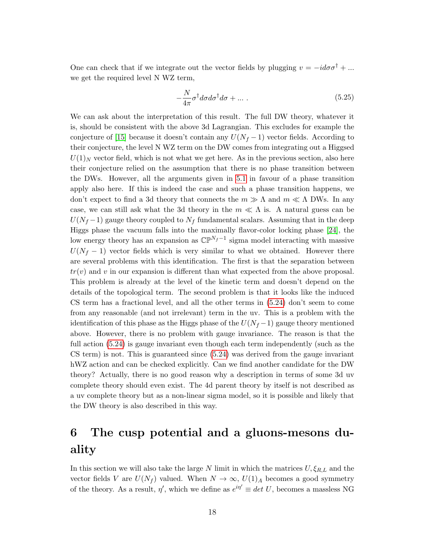One can check that if we integrate out the vector fields by plugging  $v = -i d\sigma \sigma^{\dagger} + ...$ we get the required level N WZ term,

$$
-\frac{N}{4\pi}\sigma^{\dagger}d\sigma d\sigma^{\dagger}d\sigma + \dots \tag{5.25}
$$

We can ask about the interpretation of this result. The full DW theory, whatever it is, should be consistent with the above 3d Lagrangian. This excludes for example the conjecture of [\[15\]](#page-25-2) because it doesn't contain any  $U(N_f-1)$  vector fields. According to their conjecture, the level N WZ term on the DW comes from integrating out a Higgsed  $U(1)_N$  vector field, which is not what we get here. As in the previous section, also here their conjecture relied on the assumption that there is no phase transition between the DWs. However, all the arguments given in [5.1](#page-11-1) in favour of a phase transition apply also here. If this is indeed the case and such a phase transition happens, we don't expect to find a 3d theory that connects the  $m \gg \Lambda$  and  $m \ll \Lambda$  DWs. In any case, we can still ask what the 3d theory in the  $m \ll \Lambda$  is. A natural guess can be  $U(N_f-1)$  gauge theory coupled to  $N_f$  fundamental scalars. Assuming that in the deep Higgs phase the vacuum falls into the maximally flavor-color locking phase [\[24\]](#page-25-10), the low energy theory has an expansion as  $\mathbb{CP}^{N_f-1}$  sigma model interacting with massive  $U(N_f - 1)$  vector fields which is very similar to what we obtained. However there are several problems with this identification. The first is that the separation between  $tr(v)$  and v in our expansion is different than what expected from the above proposal. This problem is already at the level of the kinetic term and doesn't depend on the details of the topological term. The second problem is that it looks like the induced CS term has a fractional level, and all the other terms in [\(5.24\)](#page-16-0) don't seem to come from any reasonable (and not irrelevant) term in the uv. This is a problem with the identification of this phase as the Higgs phase of the  $U(N_f-1)$  gauge theory mentioned above. However, there is no problem with gauge invariance. The reason is that the full action [\(5.24\)](#page-16-0) is gauge invariant even though each term independently (such as the CS term) is not. This is guaranteed since [\(5.24\)](#page-16-0) was derived from the gauge invariant hWZ action and can be checked explicitly. Can we find another candidate for the DW theory? Actually, there is no good reason why a description in terms of some 3d uv complete theory should even exist. The 4d parent theory by itself is not described as a uv complete theory but as a non-linear sigma model, so it is possible and likely that the DW theory is also described in this way.

## <span id="page-17-0"></span>6 The cusp potential and a gluons-mesons duality

In this section we will also take the large N limit in which the matrices  $U, \xi_{R,L}$  and the vector fields V are  $U(N_f)$  valued. When  $N \to \infty$ ,  $U(1)_A$  becomes a good symmetry of the theory. As a result,  $\eta'$ , which we define as  $e^{i\eta'} \equiv det U$ , becomes a massless NG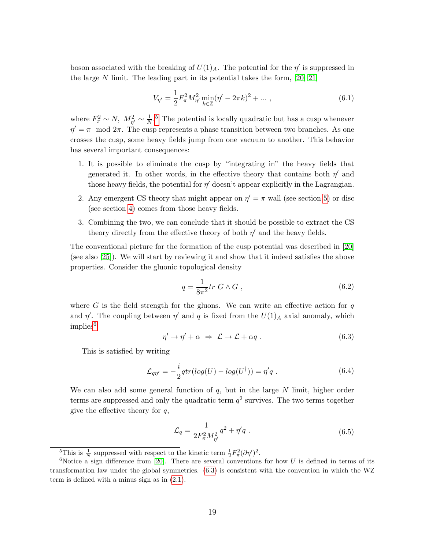boson associated with the breaking of  $U(1)_A$ . The potential for the  $\eta'$  is suppressed in the large N limit. The leading part in its potential takes the form,  $[20, 21]$  $[20, 21]$ 

<span id="page-18-3"></span>
$$
V_{\eta'} = \frac{1}{2} F_{\pi}^2 M_{\eta'}^2 \min_{k \in \mathbb{Z}} (\eta' - 2\pi k)^2 + \dots , \qquad (6.1)
$$

where  $F_{\pi}^2 \sim N$ ,  $M_{\eta'}^2 \sim \frac{1}{N}$  $\frac{1}{N}$ <sup>[5](#page-18-0)</sup>. The potential is locally quadratic but has a cusp whenever  $\eta' = \pi \mod 2\pi$ . The cusp represents a phase transition between two branches. As one crosses the cusp, some heavy fields jump from one vacuum to another. This behavior has several important consequences:

- 1. It is possible to eliminate the cusp by "integrating in" the heavy fields that generated it. In other words, in the effective theory that contains both  $\eta'$  and those heavy fields, the potential for  $\eta'$  doesn't appear explicitly in the Lagrangian.
- 2. Any emergent CS theory that might appear on  $\eta' = \pi$  wall (see section [5\)](#page-11-0) or disc (see section [4\)](#page-8-0) comes from those heavy fields.
- 3. Combining the two, we can conclude that it should be possible to extract the CS theory directly from the effective theory of both  $\eta'$  and the heavy fields.

The conventional picture for the formation of the cusp potential was described in [\[20\]](#page-25-5) (see also [\[25\]](#page-25-11)). We will start by reviewing it and show that it indeed satisfies the above properties. Consider the gluonic topological density

$$
q = \frac{1}{8\pi^2} tr\ G \wedge G \ , \tag{6.2}
$$

where G is the field strength for the gluons. We can write an effective action for  $q$ and  $\eta'$ . The coupling between  $\eta'$  and q is fixed from the  $U(1)_A$  axial anomaly, which  $implies<sup>6</sup>$  $implies<sup>6</sup>$  $implies<sup>6</sup>$ 

<span id="page-18-2"></span>
$$
\eta' \to \eta' + \alpha \implies \mathcal{L} \to \mathcal{L} + \alpha q \ . \tag{6.3}
$$

This is satisfied by writing

<span id="page-18-4"></span>
$$
\mathcal{L}_{q\eta'} = -\frac{i}{2} q \text{tr}(\log(U) - \log(U^{\dagger})) = \eta' q \tag{6.4}
$$

We can also add some general function of  $q$ , but in the large  $N$  limit, higher order terms are suppressed and only the quadratic term  $q^2$  survives. The two terms together give the effective theory for  $q$ ,

$$
\mathcal{L}_q = \frac{1}{2F_{\pi}^2 M_{\eta'}^2} q^2 + \eta' q \ . \tag{6.5}
$$

<span id="page-18-1"></span><span id="page-18-0"></span><sup>&</sup>lt;sup>5</sup>This is  $\frac{1}{N}$  suppressed with respect to the kinetic term  $\frac{1}{2}F_{\pi}^2(\partial \eta')^2$ .

<sup>&</sup>lt;sup>6</sup>Notice a sign difference from [\[20\]](#page-25-5). There are several conventions for how U is defined in terms of its transformation law under the global symmetries. [\(6.3\)](#page-18-2) is consistent with the convention in which the WZ term is defined with a minus sign as in [\(2.1\)](#page-5-1).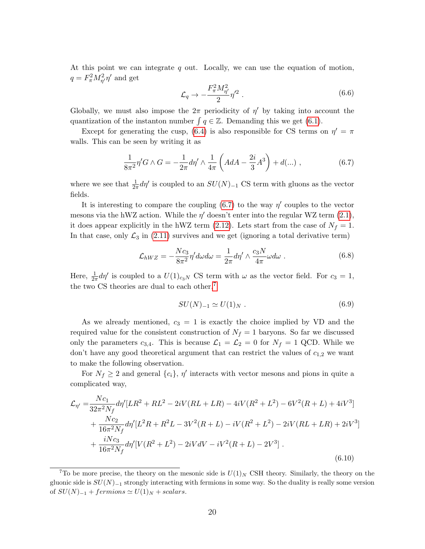At this point we can integrate  $q$  out. Locally, we can use the equation of motion,  $q = F_{\pi}^2 M_{\eta'}^2 \eta'$  and get

$$
\mathcal{L}_q \to -\frac{F_\pi^2 M_{\eta'}^2}{2} \eta'^2 \,. \tag{6.6}
$$

Globally, we must also impose the  $2\pi$  periodicity of  $\eta'$  by taking into account the quantization of the instanton number  $\int q \in \mathbb{Z}$ . Demanding this we get [\(6.1\)](#page-18-3).

Except for generating the cusp, [\(6.4\)](#page-18-4) is also responsible for CS terms on  $\eta' = \pi$ walls. This can be seen by writing it as

<span id="page-19-0"></span>
$$
\frac{1}{8\pi^2} \eta' G \wedge G = -\frac{1}{2\pi} d\eta' \wedge \frac{1}{4\pi} \left( A dA - \frac{2i}{3} A^3 \right) + d(\dots) , \qquad (6.7)
$$

where we see that  $\frac{1}{2\pi}d\eta'$  is coupled to an  $SU(N)_{-1}$  CS term with gluons as the vector fields.

It is interesting to compare the coupling  $(6.7)$  to the way  $\eta'$  couples to the vector mesons via the hWZ action. While the  $\eta'$  doesn't enter into the regular WZ term  $(2.1)$ , it does appear explicitly in the hWZ term [\(2.12\)](#page-6-1). Lets start from the case of  $N_f = 1$ . In that case, only  $\mathcal{L}_3$  in [\(2.11\)](#page-6-0) survives and we get (ignoring a total derivative term)

$$
\mathcal{L}_{hWZ} = -\frac{Nc_3}{8\pi^2} \eta' d\omega d\omega = \frac{1}{2\pi} d\eta' \wedge \frac{c_3 N}{4\pi} \omega d\omega \ . \tag{6.8}
$$

Here,  $\frac{1}{2\pi}d\eta'$  is coupled to a  $U(1)_{c_3N}$  CS term with  $\omega$  as the vector field. For  $c_3 = 1$ , the two CS theories are dual to each other,<sup>[7](#page-19-1)</sup>

$$
SU(N)_{-1} \simeq U(1)_N \ . \tag{6.9}
$$

As we already mentioned,  $c_3 = 1$  is exactly the choice implied by VD and the required value for the consistent construction of  $N_f = 1$  baryons. So far we discussed only the parameters  $c_{3,4}$ . This is because  $\mathcal{L}_1 = \mathcal{L}_2 = 0$  for  $N_f = 1$  QCD. While we don't have any good theoretical argument that can restrict the values of  $c_{1,2}$  we want to make the following observation.

For  $N_f \geq 2$  and general  $\{c_i\}, \eta'$  interacts with vector mesons and pions in quite a complicated way,

$$
\mathcal{L}_{\eta'} = \frac{Nc_1}{32\pi^2 N_f} d\eta' [LR^2 + RL^2 - 2iV(RL + LR) - 4iV(R^2 + L^2) - 6V^2(R + L) + 4iV^3] \n+ \frac{Nc_2}{16\pi^2 N_f} d\eta' [L^2R + R^2L - 3V^2(R + L) - iV(R^2 + L^2) - 2iV(RL + LR) + 2iV^3] \n+ \frac{iNc_3}{16\pi^2 N_f} d\eta' [V(R^2 + L^2) - 2iVdV - iV^2(R + L) - 2V^3] .
$$
\n(6.10)

<span id="page-19-1"></span><sup>&</sup>lt;sup>7</sup>To be more precise, the theory on the mesonic side is  $U(1)_N$  CSH theory. Similarly, the theory on the gluonic side is  $SU(N)_{-1}$  strongly interacting with fermions in some way. So the duality is really some version of  $SU(N)_{-1}$  + fermions  $\simeq U(1)_N$  + scalars.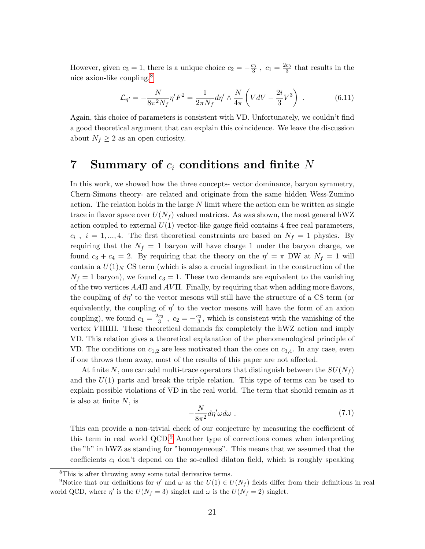However, given  $c_3 = 1$ , there is a unique choice  $c_2 = -\frac{c_3}{3}$ ,  $c_1 = \frac{2c_3}{3}$  that results in the nice axion-like coupling,[8](#page-20-1)

$$
\mathcal{L}_{\eta'} = -\frac{N}{8\pi^2 N_f} \eta' F^2 = \frac{1}{2\pi N_f} d\eta' \wedge \frac{N}{4\pi} \left( VdV - \frac{2i}{3} V^3 \right) . \tag{6.11}
$$

Again, this choice of parameters is consistent with VD. Unfortunately, we couldn't find a good theoretical argument that can explain this coincidence. We leave the discussion about  $N_f \geq 2$  as an open curiosity.

## <span id="page-20-0"></span>7 Summary of  $c_i$  conditions and finite N

In this work, we showed how the three concepts- vector dominance, baryon symmetry, Chern-Simons theory- are related and originate from the same hidden Wess-Zumino action. The relation holds in the large  $N$  limit where the action can be written as single trace in flavor space over  $U(N_f)$  valued matrices. As was shown, the most general hWZ action coupled to external  $U(1)$  vector-like gauge field contains 4 free real parameters,  $c_i$ ,  $i = 1, ..., 4$ . The first theoretical constraints are based on  $N_f = 1$  physics. By requiring that the  $N_f = 1$  baryon will have charge 1 under the baryon charge, we found  $c_3 + c_4 = 2$ . By requiring that the theory on the  $\eta' = \pi$  DW at  $N_f = 1$  will contain a  $U(1)_N$  CS term (which is also a crucial ingredient in the construction of the  $N_f = 1$  baryon), we found  $c_3 = 1$ . These two demands are equivalent to the vanishing of the two vertices  $A A \Pi$  and  $A V \Pi$ . Finally, by requiring that when adding more flavors, the coupling of  $d\eta'$  to the vector mesons will still have the structure of a CS term (or equivalently, the coupling of  $\eta'$  to the vector mesons will have the form of an axion coupling), we found  $c_1 = \frac{2c_3}{3}$ ,  $c_2 = -\frac{c_3}{3}$ , which is consistent with the vanishing of the vertex V ΠΠΠ. These theoretical demands fix completely the hWZ action and imply VD. This relation gives a theoretical explanation of the phenomenological principle of VD. The conditions on  $c_{1,2}$  are less motivated than the ones on  $c_{3,4}$ . In any case, even if one throws them away, most of the results of this paper are not affected.

At finite N, one can add multi-trace operators that distinguish between the  $SU(N_f)$ and the  $U(1)$  parts and break the triple relation. This type of terms can be used to explain possible violations of VD in the real world. The term that should remain as it is also at finite  $N$ , is

$$
-\frac{N}{8\pi^2}d\eta'\omega d\omega\ .
$$
 (7.1)

This can provide a non-trivial check of our conjecture by measuring the coefficient of this term in real world QCD.[9](#page-20-2) Another type of corrections comes when interpreting the "h" in hWZ as standing for "homogeneous". This means that we assumed that the coefficients  $c_i$  don't depend on the so-called dilaton field, which is roughly speaking

<span id="page-20-2"></span><span id="page-20-1"></span><sup>8</sup>This is after throwing away some total derivative terms.

<sup>&</sup>lt;sup>9</sup>Notice that our definitions for  $\eta'$  and  $\omega$  as the  $U(1) \in U(N_f)$  fields differ from their definitions in real world QCD, where  $\eta'$  is the  $U(N_f = 3)$  singlet and  $\omega$  is the  $U(N_f = 2)$  singlet.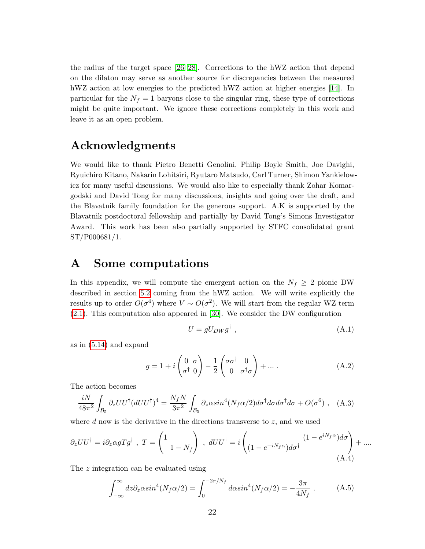the radius of the target space [\[26](#page-25-12)[–28\]](#page-26-1). Corrections to the hWZ action that depend on the dilaton may serve as another source for discrepancies between the measured hWZ action at low energies to the predicted hWZ action at higher energies [\[14\]](#page-25-1). In particular for the  $N_f = 1$  baryons close to the singular ring, these type of corrections might be quite important. We ignore these corrections completely in this work and leave it as an open problem.

## Acknowledgments

We would like to thank Pietro Benetti Genolini, Philip Boyle Smith, Joe Davighi, Ryuichiro Kitano, Nakarin Lohitsiri, Ryutaro Matsudo, Carl Turner, Shimon Yankielowicz for many useful discussions. We would also like to especially thank Zohar Komargodski and David Tong for many discussions, insights and going over the draft, and the Blavatnik family foundation for the generous support. A.K is supported by the Blavatnik postdoctoral fellowship and partially by David Tong's Simons Investigator Award. This work has been also partially supported by STFC consolidated grant ST/P000681/1.

## <span id="page-21-0"></span>A Some computations

In this appendix, we will compute the emergent action on the  $N_f \geq 2$  pionic DW described in section [5.2](#page-13-0) coming from the hWZ action. We will write explicitly the results up to order  $O(\sigma^4)$  where  $V \sim O(\sigma^2)$ . We will start from the regular WZ term [\(2.1\)](#page-5-1). This computation also appeared in [\[30\]](#page-26-2). We consider the DW configuration

$$
U = gU_{DW}g^{\dagger} \tag{A.1}
$$

as in [\(5.14\)](#page-15-2) and expand

$$
g = 1 + i \begin{pmatrix} 0 & \sigma \\ \sigma^{\dagger} & 0 \end{pmatrix} - \frac{1}{2} \begin{pmatrix} \sigma \sigma^{\dagger} & 0 \\ 0 & \sigma^{\dagger} \sigma \end{pmatrix} + \dots
$$
 (A.2)

The action becomes

$$
\frac{iN}{48\pi^2} \int_{\mathcal{B}_5} \partial_z U U^{\dagger} (dU U^{\dagger})^4 = \frac{N_f N}{3\pi^2} \int_{\mathcal{B}_5} \partial_z \alpha \sin^4(N_f \alpha/2) d\sigma^{\dagger} d\sigma d\sigma^{\dagger} d\sigma + O(\sigma^6) \ , \quad (A.3)
$$

where d now is the derivative in the directions transverse to  $z$ , and we used

$$
\partial_z U U^{\dagger} = i \partial_z \alpha g T g^{\dagger} , T = \begin{pmatrix} 1 \\ 1 - N_f \end{pmatrix} , dU U^{\dagger} = i \begin{pmatrix} (1 - e^{i N_f \alpha}) d\sigma \\ (1 - e^{-i N_f \alpha}) d\sigma^{\dagger} \end{pmatrix} + \dots
$$
\n(A.4)

The z integration can be evaluated using

<span id="page-21-1"></span>
$$
\int_{-\infty}^{\infty} dz \partial_z \alpha \sin^4(N_f \alpha/2) = \int_0^{-2\pi/N_f} d\alpha \sin^4(N_f \alpha/2) = -\frac{3\pi}{4N_f} \ . \tag{A.5}
$$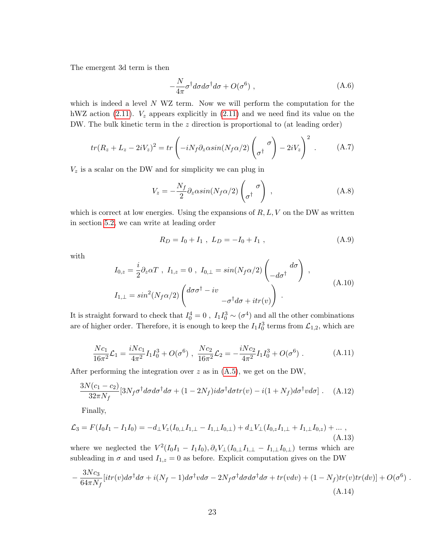The emergent 3d term is then

$$
-\frac{N}{4\pi}\sigma^{\dagger}d\sigma d\sigma^{\dagger}d\sigma + O(\sigma^6) , \qquad (A.6)
$$

which is indeed a level N WZ term. Now we will perform the computation for the hWZ action [\(2.11\)](#page-6-0).  $V_z$  appears explicitly in (2.11) and we need find its value on the DW. The bulk kinetic term in the z direction is proportional to (at leading order)

$$
tr(R_z + L_z - 2iV_z)^2 = tr\left(-iN_f\partial_z\alpha\sin(N_f\alpha/2)\begin{pmatrix} \sigma \\ \sigma^\dagger \end{pmatrix} - 2iV_z\right)^2.
$$
 (A.7)

 $V_z$  is a scalar on the DW and for simplicity we can plug in

$$
V_z = -\frac{N_f}{2} \partial_z \alpha \sin(N_f \alpha/2) \begin{pmatrix} \sigma \\ \sigma^\dagger \end{pmatrix} , \qquad (A.8)
$$

which is correct at low energies. Using the expansions of  $R, L, V$  on the DW as written in section [5.2,](#page-13-0) we can write at leading order

$$
R_D = I_0 + I_1 \ , \ L_D = -I_0 + I_1 \ , \tag{A.9}
$$

with

$$
I_{0,z} = \frac{i}{2} \partial_z \alpha T \ , \ I_{1,z} = 0 \ , \ I_{0,\perp} = \sin(N_f \alpha/2) \begin{pmatrix} d\sigma \\ -d\sigma^{\dagger} \end{pmatrix} \ ,
$$
  
\n
$$
I_{1,\perp} = \sin^2(N_f \alpha/2) \begin{pmatrix} d\sigma \sigma^{\dagger} - i v \\ -\sigma^{\dagger} d\sigma + i t r(v) \end{pmatrix} \ .
$$
 (A.10)

It is straight forward to check that  $I_0^4 = 0$ ,  $I_1 I_0^3 \sim (\sigma^4)$  and all the other combinations are of higher order. Therefore, it is enough to keep the  $I_1 I_0^3$  terms from  $\mathcal{L}_{1,2}$ , which are

$$
\frac{Nc_1}{16\pi^2} \mathcal{L}_1 = \frac{iNc_1}{4\pi^2} I_1 I_0^3 + O(\sigma^6) , \quad \frac{Nc_2}{16\pi^2} \mathcal{L}_2 = -\frac{iNc_2}{4\pi^2} I_1 I_0^3 + O(\sigma^6) .
$$
 (A.11)

After performing the integration over  $z$  as in  $(A.5)$ , we get on the DW,

$$
\frac{3N(c_1-c_2)}{32\pi N_f} [3N_f \sigma^{\dagger} d\sigma d\sigma^{\dagger} d\sigma + (1-2N_f) i d\sigma^{\dagger} d\sigma tr(v) - i(1+N_f) d\sigma^{\dagger} v d\sigma]. \quad (A.12)
$$

Finally,

$$
\mathcal{L}_3 = F(I_0I_1 - I_1I_0) = -d_\perp V_z(I_{0,\perp}I_{1,\perp} - I_{1,\perp}I_{0,\perp}) + d_\perp V_\perp(I_{0,z}I_{1,\perp} + I_{1,\perp}I_{0,z}) + \dots,
$$
\n(A.13)

where we neglected the  $V^2(I_0I_1 - I_1I_0), \partial_z V_{\perp}(I_{0,\perp}I_{1,\perp} - I_{1,\perp}I_{0,\perp})$  terms which are subleading in  $\sigma$  and used  $I_{1,z} = 0$  as before. Explicit computation gives on the DW

$$
-\frac{3Nc_3}{64\pi N_f}[itr(v)d\sigma^{\dagger}d\sigma + i(N_f - 1)d\sigma^{\dagger}v d\sigma - 2N_f\sigma^{\dagger}d\sigma d\sigma^{\dagger}d\sigma + tr(vdv) + (1 - N_f)tr(v)tr(dv)] + O(\sigma^6) .
$$
\n(A.14)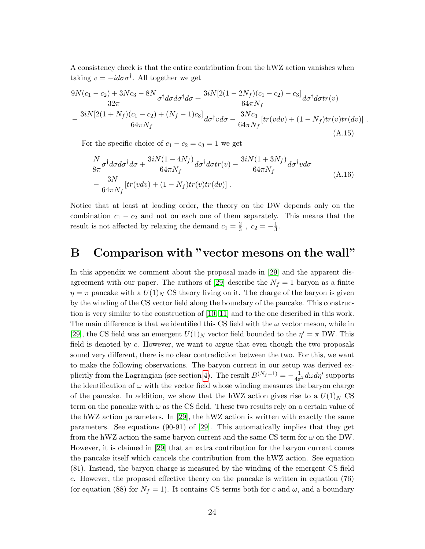A consistency check is that the entire contribution from the hWZ action vanishes when taking  $v = -id\sigma\sigma^{\dagger}$ . All together we get

$$
\frac{9N(c_1-c_2)+3Nc_3-8N}{32\pi}\sigma^{\dagger}d\sigma d\sigma^{\dagger}d\sigma + \frac{3iN[2(1-2N_f)(c_1-c_2)-c_3]}{64\pi N_f}d\sigma^{\dagger}d\sigma tr(v)
$$

$$
-\frac{3iN[2(1+N_f)(c_1-c_2)+(N_f-1)c_3]}{64\pi N_f}d\sigma^{\dagger}vd\sigma - \frac{3Nc_3}{64\pi N_f}[tr(vdv)+(1-N_f)tr(v)tr(dv)].
$$
(A.15)

For the specific choice of  $c_1 - c_2 = c_3 = 1$  we get

$$
\frac{N}{8\pi}\sigma^{\dagger}d\sigma d\sigma^{\dagger}d\sigma + \frac{3iN(1-4N_f)}{64\pi N_f}d\sigma^{\dagger}d\sigma tr(v) - \frac{3iN(1+3N_f)}{64\pi N_f}d\sigma^{\dagger}vd\sigma
$$
\n
$$
-\frac{3N}{64\pi N_f}[tr(vdv) + (1-N_f)tr(v)tr(dv)].
$$
\n(A.16)

Notice that at least at leading order, the theory on the DW depends only on the combination  $c_1 - c_2$  and not on each one of them separately. This means that the result is not affected by relaxing the demand  $c_1 = \frac{2}{3}$  $\frac{2}{3}$ ,  $c_2 = -\frac{1}{3}$  $\frac{1}{3}$ .

## <span id="page-23-0"></span>B Comparison with "vector mesons on the wall"

In this appendix we comment about the proposal made in [\[29\]](#page-26-0) and the apparent dis-agreement with our paper. The authors of [\[29\]](#page-26-0) describe the  $N_f = 1$  baryon as a finite  $\eta = \pi$  pancake with a  $U(1)_N$  CS theory living on it. The charge of the baryon is given by the winding of the CS vector field along the boundary of the pancake. This construction is very similar to the construction of [\[10,](#page-24-9) [11\]](#page-24-10) and to the one described in this work. The main difference is that we identified this CS field with the  $\omega$  vector meson, while in [\[29\]](#page-26-0), the CS field was an emergent  $U(1)_N$  vector field bounded to the  $\eta' = \pi$  DW. This field is denoted by c. However, we want to argue that even though the two proposals sound very different, there is no clear contradiction between the two. For this, we want to make the following observations. The baryon current in our setup was derived ex-plicitly from the Lagrangian (see section [4\)](#page-8-0). The result  $B^{(N_f=1)} = -\frac{1}{4\pi^2} d\omega d\eta'$  supports the identification of  $\omega$  with the vector field whose winding measures the baryon charge of the pancake. In addition, we show that the hWZ action gives rise to a  $U(1)_N$  CS term on the pancake with  $\omega$  as the CS field. These two results rely on a certain value of the hWZ action parameters. In [\[29\]](#page-26-0), the hWZ action is written with exactly the same parameters. See equations (90-91) of [\[29\]](#page-26-0). This automatically implies that they get from the hWZ action the same baryon current and the same CS term for  $\omega$  on the DW. However, it is claimed in [\[29\]](#page-26-0) that an extra contribution for the baryon current comes the pancake itself which cancels the contribution from the hWZ action. See equation (81). Instead, the baryon charge is measured by the winding of the emergent CS field c. However, the proposed effective theory on the pancake is written in equation (76) (or equation (88) for  $N_f = 1$ ). It contains CS terms both for c and  $\omega$ , and a boundary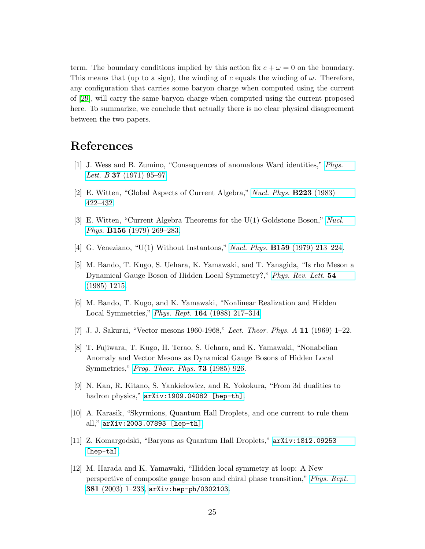term. The boundary conditions implied by this action fix  $c + \omega = 0$  on the boundary. This means that (up to a sign), the winding of c equals the winding of  $\omega$ . Therefore, any configuration that carries some baryon charge when computed using the current of [\[29\]](#page-26-0), will carry the same baryon charge when computed using the current proposed here. To summarize, we conclude that actually there is no clear physical disagreement between the two papers.

## References

- <span id="page-24-0"></span>[1] J. Wess and B. Zumino, "Consequences of anomalous Ward identities," [Phys.](http://dx.doi.org/10.1016/0370-2693(71)90582-X) *Lett. B* **37** [\(1971\) 95–97.](http://dx.doi.org/10.1016/0370-2693(71)90582-X)
- <span id="page-24-1"></span>[2] E. Witten, "Global Aspects of Current Algebra," [Nucl. Phys.](http://dx.doi.org/10.1016/0550-3213(83)90063-9) B223 (1983) [422–432.](http://dx.doi.org/10.1016/0550-3213(83)90063-9)
- <span id="page-24-2"></span>[3] E. Witten, "Current Algebra Theorems for the U(1) Goldstone Boson," [Nucl.](http://dx.doi.org/10.1016/0550-3213(79)90031-2) Phys. B156 [\(1979\) 269–283.](http://dx.doi.org/10.1016/0550-3213(79)90031-2)
- <span id="page-24-3"></span>[4] G. Veneziano, "U(1) Without Instantons," Nucl. Phys. B159 [\(1979\) 213–224.](http://dx.doi.org/10.1016/0550-3213(79)90332-8)
- <span id="page-24-4"></span>[5] M. Bando, T. Kugo, S. Uehara, K. Yamawaki, and T. Yanagida, "Is rho Meson a Dynamical Gauge Boson of Hidden Local Symmetry?," [Phys. Rev. Lett.](http://dx.doi.org/10.1103/PhysRevLett.54.1215) 54 [\(1985\) 1215.](http://dx.doi.org/10.1103/PhysRevLett.54.1215)
- <span id="page-24-5"></span>[6] M. Bando, T. Kugo, and K. Yamawaki, "Nonlinear Realization and Hidden Local Symmetries," Phys. Rept. 164 [\(1988\) 217–314.](http://dx.doi.org/10.1016/0370-1573(88)90019-1)
- <span id="page-24-6"></span>[7] J. J. Sakurai, "Vector mesons 1960-1968," Lect. Theor. Phys. A 11 (1969) 1–22.
- <span id="page-24-7"></span>[8] T. Fujiwara, T. Kugo, H. Terao, S. Uehara, and K. Yamawaki, "Nonabelian Anomaly and Vector Mesons as Dynamical Gauge Bosons of Hidden Local Symmetries," [Prog. Theor. Phys.](http://dx.doi.org/10.1143/PTP.73.926) 73 (1985) 926.
- <span id="page-24-8"></span>[9] N. Kan, R. Kitano, S. Yankielowicz, and R. Yokokura, "From 3d dualities to hadron physics," [arXiv:1909.04082 \[hep-th\]](http://arxiv.org/abs/1909.04082).
- <span id="page-24-9"></span>[10] A. Karasik, "Skyrmions, Quantum Hall Droplets, and one current to rule them all," [arXiv:2003.07893 \[hep-th\]](http://arxiv.org/abs/2003.07893).
- <span id="page-24-10"></span>[11] Z. Komargodski, "Baryons as Quantum Hall Droplets," [arXiv:1812.09253](http://arxiv.org/abs/1812.09253) [\[hep-th\]](http://arxiv.org/abs/1812.09253).
- <span id="page-24-11"></span>[12] M. Harada and K. Yamawaki, "Hidden local symmetry at loop: A New perspective of composite gauge boson and chiral phase transition," [Phys. Rept.](http://dx.doi.org/10.1016/S0370-1573(03)00139-X) 381  $(2003)$  1-233, [arXiv:hep-ph/0302103](http://arxiv.org/abs/hep-ph/0302103).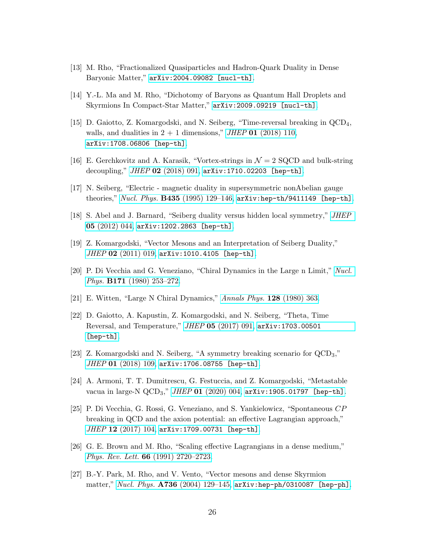- <span id="page-25-0"></span>[13] M. Rho, "Fractionalized Quasiparticles and Hadron-Quark Duality in Dense Baryonic Matter," [arXiv:2004.09082 \[nucl-th\]](http://arxiv.org/abs/2004.09082).
- <span id="page-25-1"></span>[14] Y.-L. Ma and M. Rho, "Dichotomy of Baryons as Quantum Hall Droplets and Skyrmions In Compact-Star Matter," [arXiv:2009.09219 \[nucl-th\]](http://arxiv.org/abs/2009.09219).
- <span id="page-25-2"></span>[15] D. Gaiotto, Z. Komargodski, and N. Seiberg, "Time-reversal breaking in QCD4, walls, and dualities in  $2 + 1$  dimensions," JHEP 01 [\(2018\) 110,](http://dx.doi.org/10.1007/JHEP01(2018)110) [arXiv:1708.06806 \[hep-th\]](http://arxiv.org/abs/1708.06806).
- <span id="page-25-6"></span>[16] E. Gerchkovitz and A. Karasik, "Vortex-strings in  $\mathcal{N}=2$  SQCD and bulk-string decoupling," JHEP 02 [\(2018\) 091,](http://dx.doi.org/10.1007/JHEP02(2018)091) [arXiv:1710.02203 \[hep-th\]](http://arxiv.org/abs/1710.02203).
- <span id="page-25-3"></span>[17] N. Seiberg, "Electric - magnetic duality in supersymmetric nonAbelian gauge theories," Nucl. Phys.  $B435$  (1995) 129-146, [arXiv:hep-th/9411149 \[hep-th\]](http://arxiv.org/abs/hep-th/9411149).
- [18] S. Abel and J. Barnard, "Seiberg duality versus hidden local symmetry," [JHEP](http://dx.doi.org/10.1007/JHEP05(2012)044) 05 [\(2012\) 044,](http://dx.doi.org/10.1007/JHEP05(2012)044) [arXiv:1202.2863 \[hep-th\]](http://arxiv.org/abs/1202.2863).
- <span id="page-25-4"></span>[19] Z. Komargodski, "Vector Mesons and an Interpretation of Seiberg Duality," JHEP 02 [\(2011\) 019,](http://dx.doi.org/10.1007/JHEP02(2011)019) [arXiv:1010.4105 \[hep-th\]](http://arxiv.org/abs/1010.4105).
- <span id="page-25-5"></span>[20] P. Di Vecchia and G. Veneziano, "Chiral Dynamics in the Large n Limit," [Nucl.](http://dx.doi.org/10.1016/0550-3213(80)90370-3) Phys. B171 [\(1980\) 253–272.](http://dx.doi.org/10.1016/0550-3213(80)90370-3)
- <span id="page-25-7"></span>[21] E. Witten, "Large N Chiral Dynamics," [Annals Phys.](http://dx.doi.org/10.1016/0003-4916(80)90325-5) 128 (1980) 363.
- <span id="page-25-8"></span>[22] D. Gaiotto, A. Kapustin, Z. Komargodski, and N. Seiberg, "Theta, Time Reversal, and Temperature," JHEP 05 [\(2017\) 091,](http://dx.doi.org/10.1007/JHEP05(2017)091) [arXiv:1703.00501](http://arxiv.org/abs/1703.00501) [\[hep-th\]](http://arxiv.org/abs/1703.00501).
- <span id="page-25-9"></span>[23] Z. Komargodski and N. Seiberg, "A symmetry breaking scenario for QCD3,"  $JHEP$  01 [\(2018\) 109,](http://dx.doi.org/10.1007/JHEP01(2018)109) [arXiv:1706.08755 \[hep-th\]](http://arxiv.org/abs/1706.08755).
- <span id="page-25-10"></span>[24] A. Armoni, T. T. Dumitrescu, G. Festuccia, and Z. Komargodski, "Metastable vacua in large-N  $\text{QCD}_3$ ," *JHEP* **01** [\(2020\) 004,](http://dx.doi.org/10.1007/JHEP01(2020)004)  $\text{arXiv:1905.01797}$  [hep-th].
- <span id="page-25-11"></span>[25] P. Di Vecchia, G. Rossi, G. Veneziano, and S. Yankielowicz, "Spontaneous CP breaking in QCD and the axion potential: an effective Lagrangian approach," JHEP 12 [\(2017\) 104,](http://dx.doi.org/10.1007/JHEP12(2017)104) arXiv: 1709.00731 [hep-th].
- <span id="page-25-12"></span>[26] G. E. Brown and M. Rho, "Scaling effective Lagrangians in a dense medium," Phys. Rev. Lett. 66 [\(1991\) 2720–2723.](http://dx.doi.org/10.1103/PhysRevLett.66.2720)
- [27] B.-Y. Park, M. Rho, and V. Vento, "Vector mesons and dense Skyrmion matter," Nucl. Phys.  $A736$  (2004) 129-145, [arXiv:hep-ph/0310087 \[hep-ph\]](http://arxiv.org/abs/hep-ph/0310087).